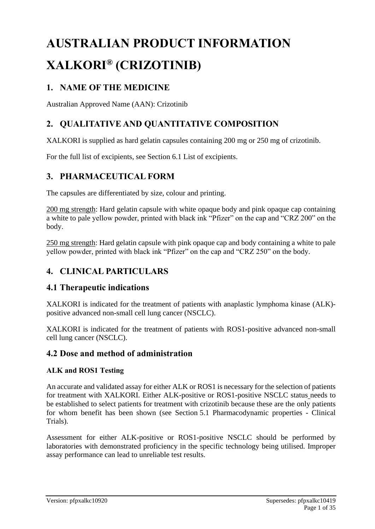# **AUSTRALIAN PRODUCT INFORMATION XALKORI® (CRIZOTINIB)**

# **1. NAME OF THE MEDICINE**

Australian Approved Name (AAN): Crizotinib

# **2. QUALITATIVE AND QUANTITATIVE COMPOSITION**

XALKORI is supplied as hard gelatin capsules containing 200 mg or 250 mg of crizotinib.

For the full list of excipients, see Section 6.1 [List of excipients.](file://///wrypgpfil01/reg/PIH/Products/Xalkori/TGA_e000286/0013%20Cat%201%20PI_OverallSurvival_Study1014_RMP_Update/Module%201/1.3.1.2%20pi-pfpxalkc-approvedDec2017_new_format_no-changes.docx)

# **3. PHARMACEUTICAL FORM**

The capsules are differentiated by size, colour and printing.

200 mg strength: Hard gelatin capsule with white opaque body and pink opaque cap containing a white to pale yellow powder, printed with black ink "Pfizer" on the cap and "CRZ 200" on the body.

250 mg strength: Hard gelatin capsule with pink opaque cap and body containing a white to pale yellow powder, printed with black ink "Pfizer" on the cap and "CRZ 250" on the body.

# **4. CLINICAL PARTICULARS**

## **4.1 Therapeutic indications**

XALKORI is indicated for the treatment of patients with anaplastic lymphoma kinase (ALK) positive advanced non-small cell lung cancer (NSCLC).

XALKORI is indicated for the treatment of patients with ROS1-positive advanced non-small cell lung cancer (NSCLC).

## **4.2 Dose and method of administration**

#### **ALK and ROS1 Testing**

An accurate and validated assay for either ALK or ROS1 is necessary for the selection of patients for treatment with XALKORI. Either ALK-positive or ROS1-positive NSCLC status needs to be established to select patients for treatment with crizotinib because these are the only patients for whom benefit has been shown (see Section 5.1 Pharmacodynamic properties - Clinical Trials).

Assessment for either ALK-positive or ROS1-positive NSCLC should be performed by laboratories with demonstrated proficiency in the specific technology being utilised. Improper assay performance can lead to unreliable test results.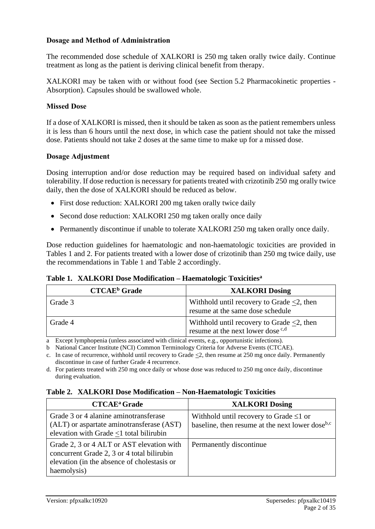#### **Dosage and Method of Administration**

The recommended dose schedule of XALKORI is 250 mg taken orally twice daily. Continue treatment as long as the patient is deriving clinical benefit from therapy.

XALKORI may be taken with or without food (see Section 5.2 Pharmacokinetic properties - Absorption). Capsules should be swallowed whole.

#### **Missed Dose**

If a dose of XALKORI is missed, then it should be taken as soon as the patient remembers unless it is less than 6 hours until the next dose, in which case the patient should not take the missed dose. Patients should not take 2 doses at the same time to make up for a missed dose.

#### **Dosage Adjustment**

Dosing interruption and/or dose reduction may be required based on individual safety and tolerability. If dose reduction is necessary for patients treated with crizotinib 250 mg orally twice daily, then the dose of XALKORI should be reduced as below.

- First dose reduction: XALKORI 200 mg taken orally twice daily
- Second dose reduction: XALKORI 250 mg taken orally once daily
- Permanently discontinue if unable to tolerate XALKORI 250 mg taken orally once daily.

Dose reduction guidelines for haematologic and non-haematologic toxicities are provided in Tables 1 and 2. For patients treated with a lower dose of crizotinib than 250 mg twice daily, use the recommendations in Table 1 and Table 2 accordingly.

**Table 1. XALKORI Dose Modification – Haematologic Toxicities<sup>a</sup>**

| <b>CTCAE</b> <sup>b</sup> Grade | <b>XALKORI Dosing</b>                                                                            |
|---------------------------------|--------------------------------------------------------------------------------------------------|
| Grade 3                         | Withhold until recovery to Grade $\leq 2$ , then<br>resume at the same dose schedule             |
| Grade 4                         | Withhold until recovery to Grade $\leq 2$ , then<br>resume at the next lower dose <sup>c,d</sup> |

a Except lymphopenia (unless associated with clinical events, e.g., opportunistic infections).

b National Cancer Institute (NCI) Common Terminology Criteria for Adverse Events (CTCAE).

c. In case of recurrence, withhold until recovery to Grade <2, then resume at 250 mg once daily. Permanently discontinue in case of further Grade 4 recurrence.

d. For patients treated with 250 mg once daily or whose dose was reduced to 250 mg once daily, discontinue during evaluation.

#### **Table 2. XALKORI Dose Modification – Non-Haematologic Toxicities**

| <b>CTCAE</b> <sup>a</sup> Grade                                                                                                                       | <b>XALKORI Dosing</b>                                                                                       |
|-------------------------------------------------------------------------------------------------------------------------------------------------------|-------------------------------------------------------------------------------------------------------------|
| Grade 3 or 4 alanine aminotransferase<br>(ALT) or aspartate aminotransferase (AST)<br>elevation with Grade $\leq$ 1 total bilirubin                   | Withhold until recovery to Grade $\leq 1$ or<br>baseline, then resume at the next lower dose <sup>b,c</sup> |
| Grade 2, 3 or 4 ALT or AST elevation with<br>concurrent Grade 2, 3 or 4 total bilirubin<br>elevation (in the absence of cholestasis or<br>haemolysis) | Permanently discontinue                                                                                     |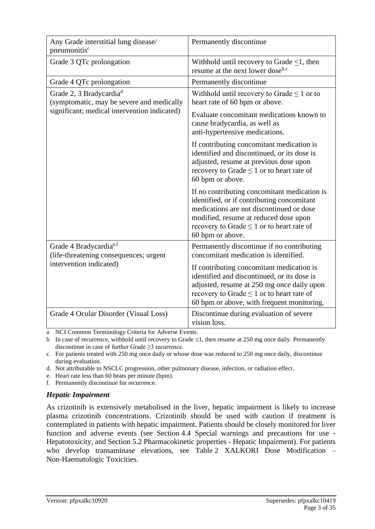| Any Grade interstitial lung disease/<br>pneumonitis <sup>c</sup>                 | Permanently discontinue                                                                                                                                                                                                                               |
|----------------------------------------------------------------------------------|-------------------------------------------------------------------------------------------------------------------------------------------------------------------------------------------------------------------------------------------------------|
| Grade 3 QTc prolongation                                                         | Withhold until recovery to Grade $\leq 1$ , then<br>resume at the next lower dose <sup>b,c</sup>                                                                                                                                                      |
| Grade 4 QTc prolongation                                                         | Permanently discontinue                                                                                                                                                                                                                               |
| Grade 2, 3 Bradycardia <sup>d</sup><br>(symptomatic, may be severe and medically | Withhold until recovery to Grade $\leq 1$ or to<br>heart rate of 60 bpm or above.                                                                                                                                                                     |
| significant; medical intervention indicated)                                     | Evaluate concomitant medications known to<br>cause bradycardia, as well as<br>anti-hypertensive medications.                                                                                                                                          |
|                                                                                  | If contributing concomitant medication is<br>identified and discontinued, or its dose is<br>adjusted, resume at previous dose upon<br>recovery to Grade $\leq 1$ or to heart rate of<br>60 bpm or above.                                              |
|                                                                                  | If no contributing concomitant medication is<br>identified, or if contributing concomitant<br>medications are not discontinued or dose<br>modified, resume at reduced dose upon<br>recovery to Grade $\leq 1$ or to heart rate of<br>60 bpm or above. |
| Grade 4 Bradycardia <sup>e,f</sup><br>(life-threatening consequences; urgent     | Permanently discontinue if no contributing<br>concomitant medication is identified.                                                                                                                                                                   |
| intervention indicated)                                                          | If contributing concomitant medication is<br>identified and discontinued, or its dose is<br>adjusted, resume at 250 mg once daily upon<br>recovery to Grade $\leq 1$ or to heart rate of<br>60 bpm or above, with frequent monitoring.                |
| Grade 4 Ocular Disorder (Visual Loss)                                            | Discontinue during evaluation of severe<br>vision loss.                                                                                                                                                                                               |

a NCI Common Terminology Criteria for Adverse Events.

b In case of recurrence, withhold until recovery to Grade  $\leq 1$ , then resume at 250 mg once daily. Permanently discontinue in case of further Grade ≥3 recurrence.

c. For patients treated with 250 mg once daily or whose dose was reduced to 250 mg once daily, discontinue during evaluation.

d. Not attributable to NSCLC progression, other pulmonary disease, infection, or radiation effect.

e. Heart rate less than 60 beats per minute (bpm).

f. Permanently discontinue for recurrence.

#### *Hepatic Impairment*

As crizotinib is extensively metabolised in the liver, hepatic impairment is likely to increase plasma crizotinib concentrations. Crizotinib should be used with caution if treatment is contemplated in patients with hepatic impairment. Patients should be closely monitored for liver function and adverse events (see Section 4.4 Special warnings and precautions for use - Hepatotoxicity, and Section 5.2 Pharmacokinetic properties - Hepatic Impairment). For patients who develop transaminase elevations, see Table 2 XALKORI Dose Modification – Non-Haematologic Toxicities.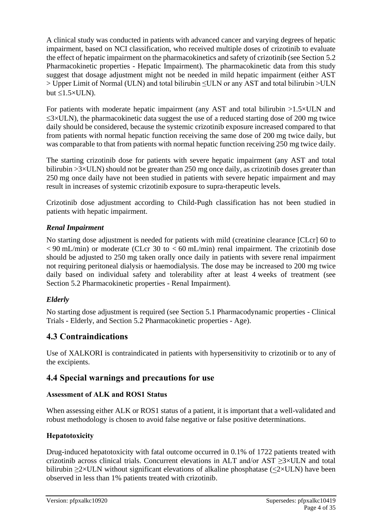A clinical study was conducted in patients with advanced cancer and varying degrees of hepatic impairment, based on NCI classification, who received multiple doses of crizotinib to evaluate the effect of hepatic impairment on the pharmacokinetics and safety of crizotinib (see Section 5.2 Pharmacokinetic properties - Hepatic Impairment). The pharmacokinetic data from this study suggest that dosage adjustment might not be needed in mild hepatic impairment (either AST > Upper Limit of Normal (ULN) and total bilirubin ≤ULN or any AST and total bilirubin >ULN but  $\leq 1.5 \times ULN$ ).

For patients with moderate hepatic impairment (any AST and total bilirubin >1.5×ULN and  $\leq$ 3×ULN), the pharmacokinetic data suggest the use of a reduced starting dose of 200 mg twice daily should be considered, because the systemic crizotinib exposure increased compared to that from patients with normal hepatic function receiving the same dose of 200 mg twice daily, but was comparable to that from patients with normal hepatic function receiving 250 mg twice daily.

The starting crizotinib dose for patients with severe hepatic impairment (any AST and total bilirubin  $>3\times$ ULN) should not be greater than 250 mg once daily, as crizotinib doses greater than 250 mg once daily have not been studied in patients with severe hepatic impairment and may result in increases of systemic crizotinib exposure to supra-therapeutic levels.

Crizotinib dose adjustment according to Child-Pugh classification has not been studied in patients with hepatic impairment.

#### *Renal Impairment*

No starting dose adjustment is needed for patients with mild (creatinine clearance [CLcr] 60 to  $< 90$  mL/min) or moderate (CLcr 30 to  $< 60$  mL/min) renal impairment. The crizotinib dose should be adjusted to 250 mg taken orally once daily in patients with severe renal impairment not requiring peritoneal dialysis or haemodialysis. The dose may be increased to 200 mg twice daily based on individual safety and tolerability after at least 4 weeks of treatment (see Section 5.2 Pharmacokinetic properties - Renal Impairment).

#### *Elderly*

No starting dose adjustment is required (see Section 5.1 Pharmacodynamic properties - Clinical Trials - Elderly, and Section 5.2 Pharmacokinetic properties - Age).

# **4.3 Contraindications**

Use of XALKORI is contraindicated in patients with hypersensitivity to crizotinib or to any of the excipients.

## **4.4 Special warnings and precautions for use**

#### **Assessment of ALK and ROS1 Status**

When assessing either ALK or ROS1 status of a patient, it is important that a well-validated and robust methodology is chosen to avoid false negative or false positive determinations.

## **Hepatotoxicity**

Drug-induced hepatotoxicity with fatal outcome occurred in 0.1% of 1722 patients treated with crizotinib across clinical trials. Concurrent elevations in ALT and/or AST ≥3×ULN and total bilirubin  $\geq 2 \times ULN$  without significant elevations of alkaline phosphatase ( $\lt 2 \times ULN$ ) have been observed in less than 1% patients treated with crizotinib.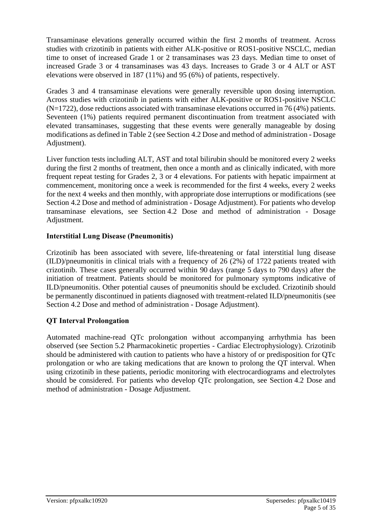Transaminase elevations generally occurred within the first 2 months of treatment. Across studies with crizotinib in patients with either ALK-positive or ROS1-positive NSCLC, median time to onset of increased Grade 1 or 2 transaminases was 23 days. Median time to onset of increased Grade 3 or 4 transaminases was 43 days. Increases to Grade 3 or 4 ALT or AST elevations were observed in 187 (11%) and 95 (6%) of patients, respectively.

Grades 3 and 4 transaminase elevations were generally reversible upon dosing interruption. Across studies with crizotinib in patients with either ALK-positive or ROS1-positive NSCLC (N=1722), dose reductions associated with transaminase elevations occurred in 76 (4%) patients. Seventeen (1%) patients required permanent discontinuation from treatment associated with elevated transaminases, suggesting that these events were generally manageable by dosing modifications as defined in Table 2 (see Section 4.2 Dose and method of administration - Dosage Adjustment).

Liver function tests including ALT, AST and total bilirubin should be monitored every 2 weeks during the first 2 months of treatment, then once a month and as clinically indicated, with more frequent repeat testing for Grades 2, 3 or 4 elevations. For patients with hepatic impairment at commencement, monitoring once a week is recommended for the first 4 weeks, every 2 weeks for the next 4 weeks and then monthly, with appropriate dose interruptions or modifications (see Section 4.2 Dose and method of administration - Dosage Adjustment). For patients who develop transaminase elevations, see Section 4.2 Dose and method of administration - Dosage Adjustment.

#### **Interstitial Lung Disease (Pneumonitis)**

Crizotinib has been associated with severe, life-threatening or fatal interstitial lung disease (ILD)/pneumonitis in clinical trials with a frequency of 26 (2%) of 1722 patients treated with crizotinib. These cases generally occurred within 90 days (range 5 days to 790 days) after the initiation of treatment. Patients should be monitored for pulmonary symptoms indicative of ILD/pneumonitis. Other potential causes of pneumonitis should be excluded. Crizotinib should be permanently discontinued in patients diagnosed with treatment-related ILD/pneumonitis (see Section 4.2 Dose and method of administration - Dosage Adjustment).

#### **QT Interval Prolongation**

Automated machine-read QTc prolongation without accompanying arrhythmia has been observed (see Section 5.2 Pharmacokinetic properties - Cardiac Electrophysiology). Crizotinib should be administered with caution to patients who have a history of or predisposition for QTc prolongation or who are taking medications that are known to prolong the QT interval. When using crizotinib in these patients, periodic monitoring with electrocardiograms and electrolytes should be considered. For patients who develop QTc prolongation, see Section 4.2 Dose and method of administration - Dosage Adjustment.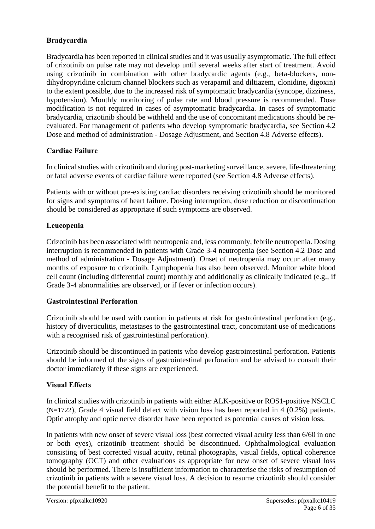#### **Bradycardia**

Bradycardia has been reported in clinical studies and it was usually asymptomatic. The full effect of crizotinib on pulse rate may not develop until several weeks after start of treatment. Avoid using crizotinib in combination with other bradycardic agents (e.g., beta-blockers, nondihydropyridine calcium channel blockers such as verapamil and diltiazem, clonidine, digoxin) to the extent possible, due to the increased risk of symptomatic bradycardia (syncope, dizziness, hypotension). Monthly monitoring of pulse rate and blood pressure is recommended. Dose modification is not required in cases of asymptomatic bradycardia. In cases of symptomatic bradycardia, crizotinib should be withheld and the use of concomitant medications should be reevaluated. For management of patients who develop symptomatic bradycardia, see Section 4.2 Dose and method of administration - Dosage Adjustment, and Section 4.8 Adverse effects).

#### **Cardiac Failure**

In clinical studies with crizotinib and during post-marketing surveillance, severe, life-threatening or fatal adverse events of cardiac failure were reported (see Section 4.8 Adverse effects).

Patients with or without pre-existing cardiac disorders receiving crizotinib should be monitored for signs and symptoms of heart failure. Dosing interruption, dose reduction or discontinuation should be considered as appropriate if such symptoms are observed.

## **Leucopenia**

Crizotinib has been associated with neutropenia and, less commonly, febrile neutropenia. Dosing interruption is recommended in patients with Grade 3-4 neutropenia (see Section 4.2 Dose and method of administration - Dosage Adjustment). Onset of neutropenia may occur after many months of exposure to crizotinib. Lymphopenia has also been observed. Monitor white blood cell count (including differential count) monthly and additionally as clinically indicated (e.g., if Grade 3-4 abnormalities are observed, or if fever or infection occurs).

#### **Gastrointestinal Perforation**

Crizotinib should be used with caution in patients at risk for gastrointestinal perforation (e.g., history of diverticulitis, metastases to the gastrointestinal tract, concomitant use of medications with a recognised risk of gastrointestinal perforation).

Crizotinib should be discontinued in patients who develop gastrointestinal perforation. Patients should be informed of the signs of gastrointestinal perforation and be advised to consult their doctor immediately if these signs are experienced.

## **Visual Effects**

In clinical studies with crizotinib in patients with either ALK-positive or ROS1-positive NSCLC (N=1722), Grade 4 visual field defect with vision loss has been reported in 4 (0.2%) patients. Optic atrophy and optic nerve disorder have been reported as potential causes of vision loss.

In patients with new onset of severe visual loss (best corrected visual acuity less than 6/60 in one or both eyes), crizotinib treatment should be discontinued. Ophthalmological evaluation consisting of best corrected visual acuity, retinal photographs, visual fields, optical coherence tomography (OCT) and other evaluations as appropriate for new onset of severe visual loss should be performed. There is insufficient information to characterise the risks of resumption of crizotinib in patients with a severe visual loss. A decision to resume crizotinib should consider the potential benefit to the patient.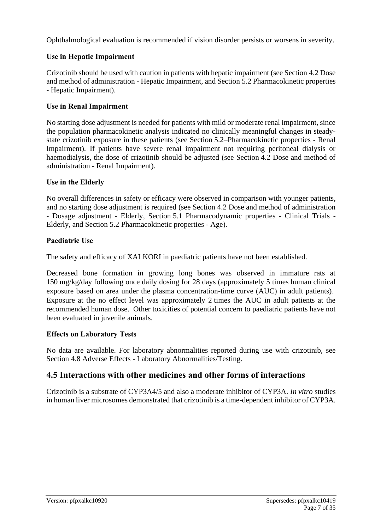Ophthalmological evaluation is recommended if vision disorder persists or worsens in severity.

#### **Use in Hepatic Impairment**

Crizotinib should be used with caution in patients with hepatic impairment (see Section 4.2 Dose and method of administration - Hepatic Impairment, and Section 5.2 Pharmacokinetic properties - Hepatic Impairment).

#### **Use in Renal Impairment**

No starting dose adjustment is needed for patients with mild or moderate renal impairment, since the population pharmacokinetic analysis indicated no clinically meaningful changes in steadystate crizotinib exposure in these patients (see Section 5.2–Pharmacokinetic properties - Renal Impairment). If patients have severe renal impairment not requiring peritoneal dialysis or haemodialysis, the dose of crizotinib should be adjusted (see Section 4.2 Dose and method of administration - Renal Impairment).

#### **Use in the Elderly**

No overall differences in safety or efficacy were observed in comparison with younger patients, and no starting dose adjustment is required (see Section 4.2 Dose and method of administration - Dosage adjustment - Elderly, Section 5.1 Pharmacodynamic properties - Clinical Trials - Elderly, and Section 5.2 Pharmacokinetic properties - Age).

#### **Paediatric Use**

The safety and efficacy of XALKORI in paediatric patients have not been established.

Decreased bone formation in growing long bones was observed in immature rats at 150 mg/kg/day following once daily dosing for 28 days (approximately 5 times human clinical exposure based on area under the plasma concentration-time curve (AUC) in adult patients). Exposure at the no effect level was approximately 2 times the AUC in adult patients at the recommended human dose. Other toxicities of potential concern to paediatric patients have not been evaluated in juvenile animals.

#### **Effects on Laboratory Tests**

No data are available. For laboratory abnormalities reported during use with crizotinib, see Section 4.8 Adverse Effects - Laboratory Abnormalities/Testing.

## **4.5 Interactions with other medicines and other forms of interactions**

Crizotinib is a substrate of CYP3A4/5 and also a moderate inhibitor of CYP3A. *In vitro* studies in human liver microsomes demonstrated that crizotinib is a time-dependent inhibitor of CYP3A.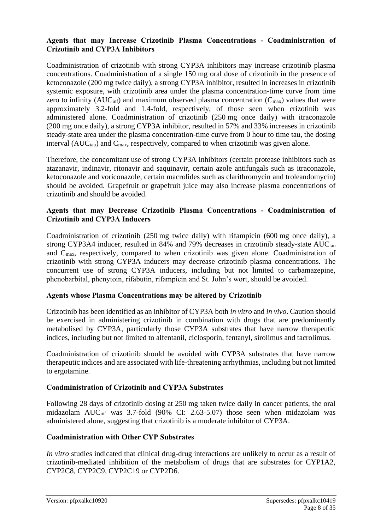#### **Agents that may Increase Crizotinib Plasma Concentrations - Coadministration of Crizotinib and CYP3A Inhibitors**

Coadministration of crizotinib with strong CYP3A inhibitors may increase crizotinib plasma concentrations. Coadministration of a single 150 mg oral dose of crizotinib in the presence of ketoconazole (200 mg twice daily), a strong CYP3A inhibitor, resulted in increases in crizotinib systemic exposure, with crizotinib area under the plasma concentration-time curve from time zero to infinity ( $AUC_{\text{inf}}$ ) and maximum observed plasma concentration ( $C_{\text{max}}$ ) values that were approximately 3.2-fold and 1.4-fold, respectively, of those seen when crizotinib was administered alone. Coadministration of crizotinib (250 mg once daily) with itraconazole (200 mg once daily), a strong CYP3A inhibitor, resulted in 57% and 33% increases in crizotinib steady-state area under the plasma concentration-time curve from 0 hour to time tau, the dosing interval ( $AUC_{tau}$ ) and  $C_{max}$ , respectively, compared to when crizotinib was given alone.

Therefore, the concomitant use of strong CYP3A inhibitors (certain protease inhibitors such as atazanavir, indinavir, ritonavir and saquinavir, certain azole antifungals such as itraconazole, ketoconazole and voriconazole, certain macrolides such as clarithromycin and troleandomycin) should be avoided. Grapefruit or grapefruit juice may also increase plasma concentrations of crizotinib and should be avoided.

#### **Agents that may Decrease Crizotinib Plasma Concentrations - Coadministration of Crizotinib and CYP3A Inducers**

Coadministration of crizotinib (250 mg twice daily) with rifampicin (600 mg once daily), a strong CYP3A4 inducer, resulted in  $84\%$  and 79% decreases in crizotinib steady-state  $AUC_{tau}$ and Cmax, respectively, compared to when crizotinib was given alone. Coadministration of crizotinib with strong CYP3A inducers may decrease crizotinib plasma concentrations. The concurrent use of strong CYP3A inducers, including but not limited to carbamazepine, phenobarbital, phenytoin, rifabutin, rifampicin and St. John's wort, should be avoided.

#### **Agents whose Plasma Concentrations may be altered by Crizotinib**

Crizotinib has been identified as an inhibitor of CYP3A both *in vitro* and *in vivo*. Caution should be exercised in administering crizotinib in combination with drugs that are predominantly metabolised by CYP3A, particularly those CYP3A substrates that have narrow therapeutic indices, including but not limited to alfentanil, ciclosporin, fentanyl, sirolimus and tacrolimus.

Coadministration of crizotinib should be avoided with CYP3A substrates that have narrow therapeutic indices and are associated with life-threatening arrhythmias, including but not limited to ergotamine.

#### **Coadministration of Crizotinib and CYP3A Substrates**

Following 28 days of crizotinib dosing at 250 mg taken twice daily in cancer patients, the oral midazolam AUCinf was 3.7-fold (90% CI: 2.63-5.07) those seen when midazolam was administered alone, suggesting that crizotinib is a moderate inhibitor of CYP3A.

#### **Coadministration with Other CYP Substrates**

*In vitro* studies indicated that clinical drug-drug interactions are unlikely to occur as a result of crizotinib-mediated inhibition of the metabolism of drugs that are substrates for CYP1A2, CYP2C8, CYP2C9, CYP2C19 or CYP2D6.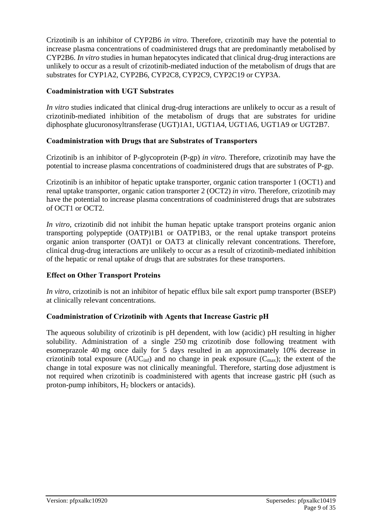Crizotinib is an inhibitor of CYP2B6 *in vitro*. Therefore, crizotinib may have the potential to increase plasma concentrations of coadministered drugs that are predominantly metabolised by CYP2B6. *In vitro* studies in human hepatocytes indicated that clinical drug-drug interactions are unlikely to occur as a result of crizotinib-mediated induction of the metabolism of drugs that are substrates for CYP1A2, CYP2B6, CYP2C8, CYP2C9, CYP2C19 or CYP3A.

#### **Coadministration with UGT Substrates**

*In vitro* studies indicated that clinical drug-drug interactions are unlikely to occur as a result of crizotinib-mediated inhibition of the metabolism of drugs that are substrates for uridine diphosphate glucuronosyltransferase (UGT)1A1, UGT1A4, UGT1A6, UGT1A9 or UGT2B7.

#### **Coadministration with Drugs that are Substrates of Transporters**

Crizotinib is an inhibitor of P-glycoprotein (P-gp) *in vitro*. Therefore, crizotinib may have the potential to increase plasma concentrations of coadministered drugs that are substrates of P-gp.

Crizotinib is an inhibitor of hepatic uptake transporter, organic cation transporter 1 (OCT1) and renal uptake transporter, organic cation transporter 2 (OCT2) *in vitro*. Therefore, crizotinib may have the potential to increase plasma concentrations of coadministered drugs that are substrates of OCT1 or OCT2.

*In vitro*, crizotinib did not inhibit the human hepatic uptake transport proteins organic anion transporting polypeptide (OATP)1B1 or OATP1B3, or the renal uptake transport proteins organic anion transporter (OAT)1 or OAT3 at clinically relevant concentrations. Therefore, clinical drug-drug interactions are unlikely to occur as a result of crizotinib-mediated inhibition of the hepatic or renal uptake of drugs that are substrates for these transporters.

#### **Effect on Other Transport Proteins**

*In vitro*, crizotinib is not an inhibitor of hepatic efflux bile salt export pump transporter (BSEP) at clinically relevant concentrations.

#### **Coadministration of Crizotinib with Agents that Increase Gastric pH**

The aqueous solubility of crizotinib is pH dependent, with low (acidic) pH resulting in higher solubility. Administration of a single 250 mg crizotinib dose following treatment with esomeprazole 40 mg once daily for 5 days resulted in an approximately 10% decrease in crizotinib total exposure ( $AUC_{\text{inf}}$ ) and no change in peak exposure ( $C_{\text{max}}$ ); the extent of the change in total exposure was not clinically meaningful. Therefore, starting dose adjustment is not required when crizotinib is coadministered with agents that increase gastric pH (such as proton-pump inhibitors, H<sup>2</sup> blockers or antacids).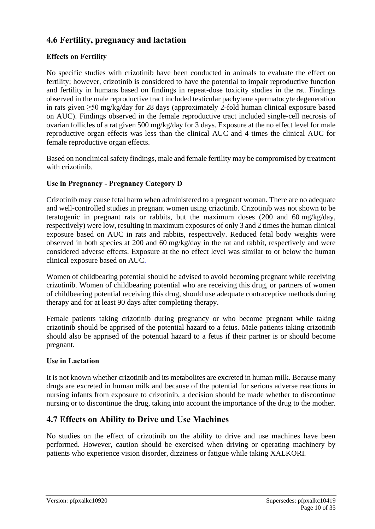# **4.6 Fertility, pregnancy and lactation**

### **Effects on Fertility**

No specific studies with crizotinib have been conducted in animals to evaluate the effect on fertility; however, crizotinib is considered to have the potential to impair reproductive function and fertility in humans based on findings in repeat-dose toxicity studies in the rat. Findings observed in the male reproductive tract included testicular pachytene spermatocyte degeneration in rats given ≥50 mg/kg/day for 28 days (approximately 2-fold human clinical exposure based on AUC). Findings observed in the female reproductive tract included single-cell necrosis of ovarian follicles of a rat given 500 mg/kg/day for 3 days. Exposure at the no effect level for male reproductive organ effects was less than the clinical AUC and 4 times the clinical AUC for female reproductive organ effects.

Based on nonclinical safety findings, male and female fertility may be compromised by treatment with crizotinib.

#### **Use in Pregnancy - Pregnancy Category D**

Crizotinib may cause fetal harm when administered to a pregnant woman. There are no adequate and well-controlled studies in pregnant women using crizotinib. Crizotinib was not shown to be teratogenic in pregnant rats or rabbits, but the maximum doses (200 and 60 mg/kg/day, respectively) were low, resulting in maximum exposures of only 3 and 2 times the human clinical exposure based on AUC in rats and rabbits, respectively. Reduced fetal body weights were observed in both species at 200 and 60 mg/kg/day in the rat and rabbit, respectively and were considered adverse effects. Exposure at the no effect level was similar to or below the human clinical exposure based on AUC.

Women of childbearing potential should be advised to avoid becoming pregnant while receiving crizotinib. Women of childbearing potential who are receiving this drug, or partners of women of childbearing potential receiving this drug, should use adequate contraceptive methods during therapy and for at least 90 days after completing therapy.

Female patients taking crizotinib during pregnancy or who become pregnant while taking crizotinib should be apprised of the potential hazard to a fetus. Male patients taking crizotinib should also be apprised of the potential hazard to a fetus if their partner is or should become pregnant.

#### **Use in Lactation**

It is not known whether crizotinib and its metabolites are excreted in human milk. Because many drugs are excreted in human milk and because of the potential for serious adverse reactions in nursing infants from exposure to crizotinib, a decision should be made whether to discontinue nursing or to discontinue the drug, taking into account the importance of the drug to the mother.

## **4.7 Effects on Ability to Drive and Use Machines**

No studies on the effect of crizotinib on the ability to drive and use machines have been performed. However, caution should be exercised when driving or operating machinery by patients who experience vision disorder, dizziness or fatigue while taking XALKORI*.*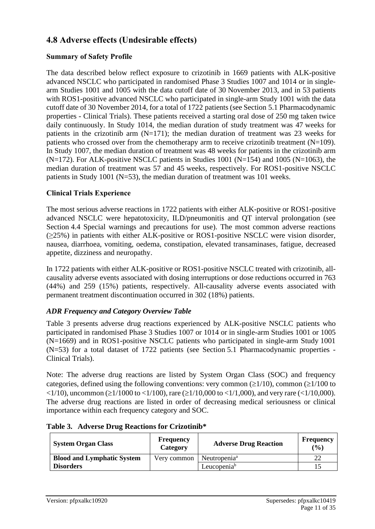# **4.8 Adverse effects (Undesirable effects)**

#### **Summary of Safety Profile**

The data described below reflect exposure to crizotinib in 1669 patients with ALK-positive advanced NSCLC who participated in randomised Phase 3 Studies 1007 and 1014 or in singlearm Studies 1001 and 1005 with the data cutoff date of 30 November 2013, and in 53 patients with ROS1-positive advanced NSCLC who participated in single-arm Study 1001 with the data cutoff date of 30 November 2014, for a total of 1722 patients (see Section 5.1 Pharmacodynamic properties - Clinical Trials). These patients received a starting oral dose of 250 mg taken twice daily continuously. In Study 1014, the median duration of study treatment was 47 weeks for patients in the crizotinib arm  $(N=171)$ ; the median duration of treatment was 23 weeks for patients who crossed over from the chemotherapy arm to receive crizotinib treatment  $(N=109)$ . In Study 1007, the median duration of treatment was 48 weeks for patients in the crizotinib arm  $(N=172)$ . For ALK-positive NSCLC patients in Studies 1001 (N=154) and 1005 (N=1063), the median duration of treatment was 57 and 45 weeks, respectively. For ROS1-positive NSCLC patients in Study 1001 (N=53), the median duration of treatment was 101 weeks.

#### **Clinical Trials Experience**

The most serious adverse reactions in 1722 patients with either ALK-positive or ROS1-positive advanced NSCLC were hepatotoxicity, ILD/pneumonitis and QT interval prolongation (see Section 4.4 Special warnings and precautions for use). The most common adverse reactions  $(\geq 25\%)$  in patients with either ALK-positive or ROS1-positive NSCLC were vision disorder, nausea, diarrhoea, vomiting, oedema, constipation, elevated transaminases, fatigue, decreased appetite, dizziness and neuropathy.

In 1722 patients with either ALK-positive or ROS1-positive NSCLC treated with crizotinib, allcausality adverse events associated with dosing interruptions or dose reductions occurred in 763 (44%) and 259 (15%) patients, respectively. All-causality adverse events associated with permanent treatment discontinuation occurred in 302 (18%) patients.

#### *ADR Frequency and Category Overview Table*

Table 3 presents adverse drug reactions experienced by ALK-positive NSCLC patients who participated in randomised Phase 3 Studies 1007 or 1014 or in single-arm Studies 1001 or 1005 (N=1669) and in ROS1-positive NSCLC patients who participated in single-arm Study 1001 (N=53) for a total dataset of 1722 patients (see Section 5.1 Pharmacodynamic properties - Clinical Trials).

Note: The adverse drug reactions are listed by System Organ Class (SOC) and frequency categories, defined using the following conventions: very common ( $\geq 1/10$ ), common ( $\geq 1/100$  to  $\langle 1/10 \rangle$ , uncommon ( $\geq 1/1000$  to  $\langle 1/100 \rangle$ , rare ( $\geq 1/10,000$  to  $\langle 1/1,000 \rangle$ , and very rare ( $\langle 1/10,000 \rangle$ ). The adverse drug reactions are listed in order of decreasing medical seriousness or clinical importance within each frequency category and SOC.

| <b>System Organ Class</b>         | <b>Frequency</b><br>Category | <b>Adverse Drug Reaction</b> | <b>Frequency</b><br>$($ %) |
|-----------------------------------|------------------------------|------------------------------|----------------------------|
| <b>Blood and Lymphatic System</b> | Very common                  | Neutropenia <sup>a</sup>     |                            |
| <b>Disorders</b>                  |                              | Leucopenia <sup>b</sup>      |                            |

#### **Table 3. Adverse Drug Reactions for Crizotinib\***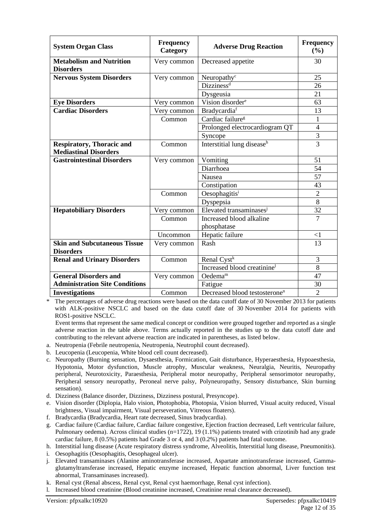| <b>System Organ Class</b>                           | <b>Frequency</b><br>Category | <b>Adverse Drug Reaction</b>              | <b>Frequency</b><br>(%)  |
|-----------------------------------------------------|------------------------------|-------------------------------------------|--------------------------|
| <b>Metabolism and Nutrition</b><br><b>Disorders</b> | Very common                  | Decreased appetite                        | 30                       |
| <b>Nervous System Disorders</b>                     | Very common                  | Neuropathy <sup>c</sup>                   | 25                       |
|                                                     |                              | Dizziness <sup>d</sup>                    | 26                       |
|                                                     |                              |                                           | 21                       |
|                                                     |                              | Dysgeusia<br>Vision disorder <sup>e</sup> |                          |
| <b>Eye Disorders</b>                                | Very common                  |                                           | 63                       |
| <b>Cardiac Disorders</b>                            | Very common                  | Bradycardiaf                              | 13                       |
|                                                     | Common                       | Cardiac failure <sup>g</sup>              | $\mathbf{1}$             |
|                                                     |                              | Prolonged electrocardiogram QT            | $\overline{\mathcal{A}}$ |
|                                                     |                              | Syncope                                   | 3                        |
| <b>Respiratory, Thoracic and</b>                    | Common                       | Interstitial lung disease <sup>h</sup>    | $\overline{3}$           |
| <b>Mediastinal Disorders</b>                        |                              |                                           |                          |
| <b>Gastrointestinal Disorders</b>                   | Very common                  | Vomiting                                  | 51                       |
|                                                     |                              | Diarrhoea                                 | 54                       |
|                                                     |                              | Nausea                                    | $\overline{57}$          |
|                                                     |                              | Constipation                              | 43                       |
|                                                     | Common                       | Oesophagitisi                             | $\overline{2}$           |
|                                                     |                              | Dyspepsia                                 | 8                        |
| <b>Hepatobiliary Disorders</b>                      | Very common                  | Elevated transaminasesi                   | 32                       |
|                                                     | Common                       | Increased blood alkaline                  | $\overline{7}$           |
|                                                     |                              | phosphatase                               |                          |
|                                                     | Uncommon                     | Hepatic failure                           | $<$ 1                    |
| <b>Skin and Subcutaneous Tissue</b>                 | Very common                  | Rash                                      | 13                       |
| <b>Disorders</b>                                    |                              |                                           |                          |
| <b>Renal and Urinary Disorders</b>                  | Common                       | Renal Cyst <sup>k</sup>                   | 3                        |
|                                                     |                              | Increased blood creatinine <sup>1</sup>   | 8                        |
| <b>General Disorders and</b>                        | Very common                  | Oedema <sup>m</sup>                       | 47                       |
| <b>Administration Site Conditions</b>               |                              | Fatigue                                   | 30                       |
| <b>Investigations</b>                               | Common                       | Decreased blood testosterone <sup>n</sup> | $\overline{2}$           |

The percentages of adverse drug reactions were based on the data cutoff date of 30 November 2013 for patients with ALK-positive NSCLC and based on the data cutoff date of 30 November 2014 for patients with ROS1-positive NSCLC.

Event terms that represent the same medical concept or condition were grouped together and reported as a single adverse reaction in the table above. Terms actually reported in the studies up to the data cutoff date and contributing to the relevant adverse reaction are indicated in parentheses, as listed below.

- a. Neutropenia (Febrile neutropenia, Neutropenia, Neutrophil count decreased).
- b. Leucopenia (Leucopenia, White blood cell count decreased).
- c. Neuropathy (Burning sensation, Dysaesthesia, Formication, Gait disturbance, Hyperaesthesia, Hypoaesthesia, Hypotonia, Motor dysfunction, Muscle atrophy, Muscular weakness, Neuralgia, Neuritis, Neuropathy peripheral, Neurotoxicity, Paraesthesia, Peripheral motor neuropathy, Peripheral sensorimotor neuropathy, Peripheral sensory neuropathy, Peroneal nerve palsy, Polyneuropathy, Sensory disturbance, Skin burning sensation).
- d. Dizziness (Balance disorder, Dizziness, Dizziness postural, Presyncope).
- e. Vision disorder (Diplopia, Halo vision, Photophobia, Photopsia, Vision blurred, Visual acuity reduced, Visual brightness, Visual impairment, Visual perseveration, Vitreous floaters).
- f. Bradycardia (Bradycardia, Heart rate decreased, Sinus bradycardia).
- g. Cardiac failure (Cardiac failure, Cardiac failure congestive, Ejection fraction decreased, Left ventricular failure, Pulmonary oedema). Across clinical studies (n=1722), 19 (1.1%) patients treated with crizotinib had any grade cardiac failure, 8 (0.5%) patients had Grade 3 or 4, and 3 (0.2%) patients had fatal outcome.
- h. Interstitial lung disease (Acute respiratory distress syndrome, Alveolitis, Interstitial lung disease, Pneumonitis).
- i. Oesophagitis (Oesophagitis, Oesophageal ulcer).
- j. Elevated transaminases (Alanine aminotransferase increased, Aspartate aminotransferase increased, Gammaglutamyltransferase increased, Hepatic enzyme increased, Hepatic function abnormal, Liver function test abnormal, Transaminases increased).
- k. Renal cyst (Renal abscess, Renal cyst, Renal cyst haemorrhage, Renal cyst infection).
- l. Increased blood creatinine (Blood creatinine increased, Creatinine renal clearance decreased).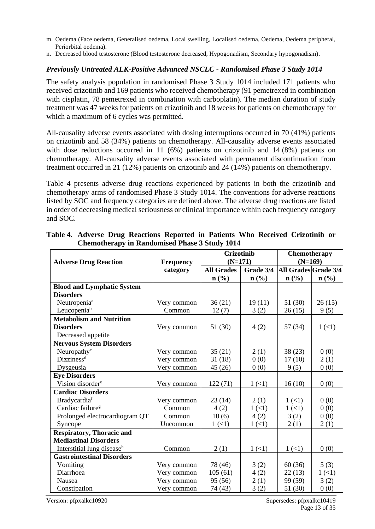- m. Oedema (Face oedema, Generalised oedema, Local swelling, Localised oedema, Oedema, Oedema peripheral, Periorbital oedema).
- n. Decreased blood testosterone (Blood testosterone decreased, Hypogonadism, Secondary hypogonadism).

#### *Previously Untreated ALK-Positive Advanced NSCLC - Randomised Phase 3 Study 1014*

The safety analysis population in randomised Phase 3 Study 1014 included 171 patients who received crizotinib and 169 patients who received chemotherapy (91 pemetrexed in combination with cisplatin, 78 pemetrexed in combination with carboplatin). The median duration of study treatment was 47 weeks for patients on crizotinib and 18 weeks for patients on chemotherapy for which a maximum of 6 cycles was permitted.

All-causality adverse events associated with dosing interruptions occurred in 70 (41%) patients on crizotinib and 58 (34%) patients on chemotherapy. All-causality adverse events associated with dose reductions occurred in 11 (6%) patients on crizotinib and 14 (8%) patients on chemotherapy. All-causality adverse events associated with permanent discontinuation from treatment occurred in 21 (12%) patients on crizotinib and 24 (14%) patients on chemotherapy.

Table 4 presents adverse drug reactions experienced by patients in both the crizotinib and chemotherapy arms of randomised Phase 3 Study 1014. The conventions for adverse reactions listed by SOC and frequency categories are defined above. The adverse drug reactions are listed in order of decreasing medical seriousness or clinical importance within each frequency category and SOC.

|                                        |                              | <b>Crizotinib</b><br>$(N=171)$ |           | Chemotherapy<br>$(N=169)$ |                             |
|----------------------------------------|------------------------------|--------------------------------|-----------|---------------------------|-----------------------------|
| <b>Adverse Drug Reaction</b>           | <b>Frequency</b><br>category | <b>All Grades</b>              | Grade 3/4 | All Grades Grade 3/4      |                             |
|                                        |                              | $n\left(\frac{0}{0}\right)$    | $n$ (%)   | $n$ (%)                   | $n\left(\frac{0}{0}\right)$ |
| <b>Blood and Lymphatic System</b>      |                              |                                |           |                           |                             |
| <b>Disorders</b>                       |                              |                                |           |                           |                             |
| Neutropenia <sup>a</sup>               | Very common                  | 36(21)                         | 19(11)    | 51 (30)                   | 26(15)                      |
| Leucopenia <sup>b</sup>                | Common                       | 12(7)                          | 3(2)      | 26(15)                    | 9(5)                        |
| <b>Metabolism and Nutrition</b>        |                              |                                |           |                           |                             |
| <b>Disorders</b>                       | Very common                  | 51 (30)                        | 4(2)      | 57(34)                    | 1(1)                        |
| Decreased appetite                     |                              |                                |           |                           |                             |
| <b>Nervous System Disorders</b>        |                              |                                |           |                           |                             |
| Neuropathy <sup>c</sup>                | Very common                  | 35(21)                         | 2(1)      | 38(23)                    | 0(0)                        |
| Dizziness <sup>d</sup>                 | Very common                  | 31(18)                         | 0(0)      | 17(10)                    | 2(1)                        |
| Dysgeusia                              | Very common                  | 45 (26)                        | 0(0)      | 9(5)                      | 0(0)                        |
| <b>Eye Disorders</b>                   |                              |                                |           |                           |                             |
| Vision disorder <sup>e</sup>           | Very common                  | 122(71)                        | 1(1)      | 16(10)                    | 0(0)                        |
| <b>Cardiac Disorders</b>               |                              |                                |           |                           |                             |
| Bradycardiaf                           | Very common                  | 23(14)                         | 2(1)      | 1(1)                      | 0(0)                        |
| Cardiac failure <sup>g</sup>           | Common                       | 4(2)                           | 1(1)      | 1(1)                      | 0(0)                        |
| Prolonged electrocardiogram QT         | Common                       | 10(6)                          | 4(2)      | 3(2)                      | 0(0)                        |
| Syncope                                | Uncommon                     | 1(1)                           | 1(1)      | 2(1)                      | 2(1)                        |
| <b>Respiratory, Thoracic and</b>       |                              |                                |           |                           |                             |
| <b>Mediastinal Disorders</b>           |                              |                                |           |                           |                             |
| Interstitial lung disease <sup>h</sup> | Common                       | 2(1)                           | 1(1)      | 1(1)                      | 0(0)                        |
| <b>Gastrointestinal Disorders</b>      |                              |                                |           |                           |                             |
| Vomiting                               | Very common                  | 78 (46)                        | 3(2)      | 60(36)                    | 5(3)                        |
| Diarrhoea                              | Very common                  | 105(61)                        | 4(2)      | 22(13)                    | 1(1)                        |
| Nausea                                 | Very common                  | 95 (56)                        | 2(1)      | 99 (59)                   | 3(2)                        |
| Constipation                           | Very common                  | 74 (43)                        | 3(2)      | 51 (30)                   | 0(0)                        |

**Table 4. Adverse Drug Reactions Reported in Patients Who Received Crizotinib or Chemotherapy in Randomised Phase 3 Study 1014**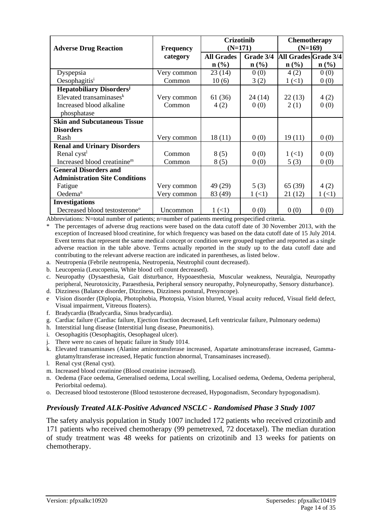|                                             |                  | <b>Crizotinib</b><br>$(N=171)$ |                  | <b>Chemotherapy</b><br>$(N=169)$ |                  |
|---------------------------------------------|------------------|--------------------------------|------------------|----------------------------------|------------------|
| <b>Adverse Drug Reaction</b>                | <b>Frequency</b> |                                |                  |                                  |                  |
|                                             | category         | <b>All Grades</b>              | Grade 3/4        | All Grades Grade 3/4             |                  |
|                                             |                  | $\mathbf{n}(\%)$               | $\mathbf{n}(\%)$ | $\mathbf{n}(\%)$                 | $\mathbf{n}(\%)$ |
| Dyspepsia                                   | Very common      | 23(14)                         | 0(0)             | 4(2)                             | 0(0)             |
| Oesophagitis <sup>i</sup>                   | Common           | 10(6)                          | 3(2)             | 1(1)                             | 0(0)             |
| <b>Hepatobiliary Disorders</b> <sup>j</sup> |                  |                                |                  |                                  |                  |
| Elevated transaminases $k$                  | Very common      | 61 (36)                        | 24 (14)          | 22(13)                           | 4(2)             |
| Increased blood alkaline                    | Common           | 4(2)                           | 0(0)             | 2(1)                             | 0(0)             |
| phosphatase                                 |                  |                                |                  |                                  |                  |
| <b>Skin and Subcutaneous Tissue</b>         |                  |                                |                  |                                  |                  |
| <b>Disorders</b>                            |                  |                                |                  |                                  |                  |
| Rash                                        | Very common      | 18(11)                         | 0(0)             | 19(11)                           | 0(0)             |
| <b>Renal and Urinary Disorders</b>          |                  |                                |                  |                                  |                  |
| Renal cyst <sup>1</sup>                     | Common           | 8(5)                           | 0(0)             | 1(1)                             | 0(0)             |
| Increased blood creatinine <sup>m</sup>     | Common           | 8(5)                           | 0(0)             | 5(3)                             | 0(0)             |
| <b>General Disorders and</b>                |                  |                                |                  |                                  |                  |
| <b>Administration Site Conditions</b>       |                  |                                |                  |                                  |                  |
| Fatigue                                     | Very common      | 49 (29)                        | 5(3)             | 65(39)                           | 4(2)             |
| Oedema <sup>n</sup>                         | Very common      | 83 (49)                        | 1(1)             | 21 (12)                          | $1 (\lt 1)$      |
| <b>Investigations</b>                       |                  |                                |                  |                                  |                  |
| Decreased blood testosterone <sup>o</sup>   | Uncommon         | 1(1)                           | 0(0)             | 0(0)                             | 0(0)             |

Abbreviations: N=total number of patients; n=number of patients meeting prespecified criteria.

The percentages of adverse drug reactions were based on the data cutoff date of 30 November 2013, with the exception of Increased blood creatinine, for which frequency was based on the data cutoff date of 15 July 2014. Event terms that represent the same medical concept or condition were grouped together and reported as a single adverse reaction in the table above. Terms actually reported in the study up to the data cutoff date and contributing to the relevant adverse reaction are indicated in parentheses, as listed below.

- a. Neutropenia (Febrile neutropenia, Neutropenia, Neutrophil count decreased).
- b. Leucopenia (Leucopenia, White blood cell count decreased).

c. Neuropathy (Dysaesthesia, Gait disturbance, Hypoaesthesia, Muscular weakness, Neuralgia, Neuropathy peripheral, Neurotoxicity, Paraesthesia, Peripheral sensory neuropathy, Polyneuropathy, Sensory disturbance).

- d. Dizziness (Balance disorder, Dizziness, Dizziness postural, Presyncope).
- e Vision disorder (Diplopia, Photophobia, Photopsia, Vision blurred, Visual acuity reduced, Visual field defect, Visual impairment, Vitreous floaters).
- f. Bradycardia (Bradycardia, Sinus bradycardia).
- g. Cardiac failure (Cardiac failure, Ejection fraction decreased, Left ventricular failure, Pulmonary oedema)
- h. Interstitial lung disease (Interstitial lung disease, Pneumonitis).
- i. Oesophagitis (Oesophagitis, Oesophageal ulcer).
- j. There were no cases of hepatic failure in Study 1014.
- k. Elevated transaminases (Alanine aminotransferase increased, Aspartate aminotransferase increased, Gammaglutamyltransferase increased, Hepatic function abnormal, Transaminases increased).
- l. Renal cyst (Renal cyst).
- m. Increased blood creatinine (Blood creatinine increased).
- n. Oedema (Face oedema, Generalised oedema, Local swelling, Localised oedema, Oedema, Oedema peripheral, Periorbital oedema).
- o. Decreased blood testosterone (Blood testosterone decreased, Hypogonadism, Secondary hypogonadism).

#### *Previously Treated ALK-Positive Advanced NSCLC - Randomised Phase 3 Study 1007*

The safety analysis population in Study 1007 included 172 patients who received crizotinib and 171 patients who received chemotherapy (99 pemetrexed, 72 docetaxel). The median duration of study treatment was 48 weeks for patients on crizotinib and 13 weeks for patients on chemotherapy.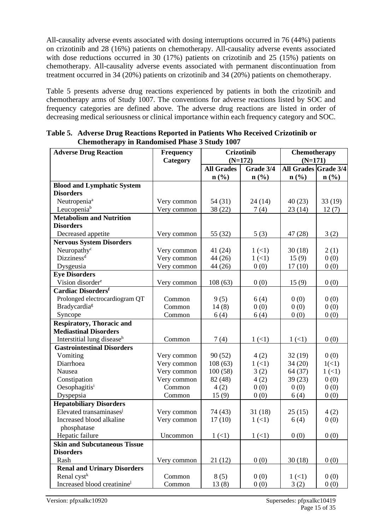All-causality adverse events associated with dosing interruptions occurred in 76 (44%) patients on crizotinib and 28 (16%) patients on chemotherapy. All-causality adverse events associated with dose reductions occurred in 30 (17%) patients on crizotinib and 25 (15%) patients on chemotherapy. All-causality adverse events associated with permanent discontinuation from treatment occurred in 34 (20%) patients on crizotinib and 34 (20%) patients on chemotherapy.

Table 5 presents adverse drug reactions experienced by patients in both the crizotinib and chemotherapy arms of Study 1007. The conventions for adverse reactions listed by SOC and frequency categories are defined above. The adverse drug reactions are listed in order of decreasing medical seriousness or clinical importance within each frequency category and SOC.

| <b>Adverse Drug Reaction</b>            | <b>Frequency</b> |                             | <b>Crizotinib</b> | Chemotherapy                |                             |
|-----------------------------------------|------------------|-----------------------------|-------------------|-----------------------------|-----------------------------|
|                                         | Category         |                             | $(N=172)$         | $(N=171)$                   |                             |
|                                         |                  | <b>All Grades</b>           | Grade 3/4         | All Grades Grade 3/4        |                             |
|                                         |                  | $n\left(\frac{0}{0}\right)$ | n(%)              | $n\left(\frac{0}{0}\right)$ | $n\left(\frac{0}{0}\right)$ |
| <b>Blood and Lymphatic System</b>       |                  |                             |                   |                             |                             |
| <b>Disorders</b>                        |                  |                             |                   |                             |                             |
| Neutropenia <sup>a</sup>                | Very common      | 54 (31)                     | 24(14)            | 40(23)                      | 33(19)                      |
| Leucopeniab                             | Very common      | 38 (22)                     | 7(4)              | 23(14)                      | 12(7)                       |
| <b>Metabolism and Nutrition</b>         |                  |                             |                   |                             |                             |
| <b>Disorders</b>                        |                  |                             |                   |                             |                             |
| Decreased appetite                      | Very common      | 55 (32)                     | 5(3)              | 47(28)                      | 3(2)                        |
| <b>Nervous System Disorders</b>         |                  |                             |                   |                             |                             |
| Neuropathy <sup>c</sup>                 | Very common      | 41 (24)                     | 1(1)              | 30(18)                      | 2(1)                        |
| Dizziness <sup>d</sup>                  | Very common      | 44 (26)                     | 1(1)              | 15(9)                       | 0(0)                        |
| Dysgeusia                               | Very common      | 44 (26)                     | 0(0)              | 17(10)                      | 0(0)                        |
| <b>Eye Disorders</b>                    |                  |                             |                   |                             |                             |
| Vision disorder <sup>e</sup>            | Very common      | 108(63)                     | 0(0)              | 15(9)                       | 0(0)                        |
| <b>Cardiac Disordersf</b>               |                  |                             |                   |                             |                             |
| Prolonged electrocardiogram QT          | Common           | 9(5)                        | 6(4)              | 0(0)                        | 0(0)                        |
| Bradycardia <sup>g</sup>                | Common           | 14(8)                       | 0(0)              | 0(0)                        | 0(0)                        |
| Syncope                                 | Common           | 6(4)                        | 6(4)              | 0(0)                        | 0(0)                        |
| <b>Respiratory, Thoracic and</b>        |                  |                             |                   |                             |                             |
| <b>Mediastinal Disorders</b>            |                  |                             |                   |                             |                             |
| Interstitial lung disease <sup>h</sup>  | Common           | 7(4)                        | $1 (\leq 1)$      | 1(1)                        | 0(0)                        |
| <b>Gastrointestinal Disorders</b>       |                  |                             |                   |                             |                             |
| Vomiting                                | Very common      | 90(52)                      | 4(2)              | 32(19)                      | 0(0)                        |
| Diarrhoea                               | Very common      | 108(63)                     | 1(1)              | 34(20)                      | 1(<1)                       |
| Nausea                                  | Very common      | 100(58)                     | 3(2)              | 64 (37)                     | 1(1)                        |
| Constipation                            | Very common      | 82 (48)                     | 4(2)              | 39(23)                      | 0(0)                        |
| Oesophagitisi                           | Common           | 4(2)                        | 0(0)              | 0(0)                        | 0(0)                        |
| Dyspepsia                               | Common           | 15(9)                       | 0(0)              | 6(4)                        | 0(0)                        |
| <b>Hepatobiliary Disorders</b>          |                  |                             |                   |                             |                             |
| Elevated transaminases <sup>j</sup>     | Very common      | 74 (43)                     | 31(18)            | 25(15)                      | 4(2)                        |
| Increased blood alkaline                | Very common      | 17(10)                      | 1(1)              | 6(4)                        | 0(0)                        |
| phosphatase                             |                  |                             |                   |                             |                             |
| Hepatic failure                         | Uncommon         | 1(1)                        | 1(1)              | 0(0)                        | 0(0)                        |
| <b>Skin and Subcutaneous Tissue</b>     |                  |                             |                   |                             |                             |
| <b>Disorders</b>                        |                  |                             |                   |                             |                             |
| Rash                                    | Very common      | 21(12)                      | 0(0)              | 30(18)                      | 0(0)                        |
| <b>Renal and Urinary Disorders</b>      |                  |                             |                   |                             |                             |
| Renal cyst <sup>k</sup>                 | Common           | 8(5)                        | 0(0)              | 1(1)                        | 0(0)                        |
| Increased blood creatinine <sup>1</sup> | Common           | 13(8)                       | 0(0)              | 3(2)                        | 0(0)                        |

**Table 5. Adverse Drug Reactions Reported in Patients Who Received Crizotinib or Chemotherapy in Randomised Phase 3 Study 1007**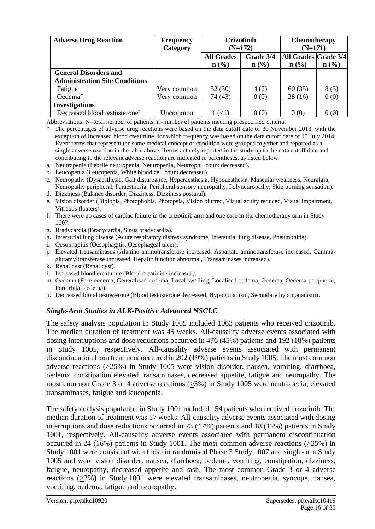| <b>Adverse Drug Reaction</b>              | Crizotinib<br><b>Chemotherapy</b><br><b>Frequency</b><br>$(N=171)$<br>Category<br>$(N=172)$ |                   |                             |                      |                             |
|-------------------------------------------|---------------------------------------------------------------------------------------------|-------------------|-----------------------------|----------------------|-----------------------------|
|                                           |                                                                                             | <b>All Grades</b> | Grade 3/4                   | All Grades Grade 3/4 |                             |
|                                           |                                                                                             | $\mathbf{n}(\%)$  | $n\left(\frac{0}{0}\right)$ | n(%)                 | $n\left(\frac{0}{0}\right)$ |
| <b>General Disorders and</b>              |                                                                                             |                   |                             |                      |                             |
| <b>Administration Site Conditions</b>     |                                                                                             |                   |                             |                      |                             |
| Fatigue                                   | Very common                                                                                 | 52 (30)           | 4(2)                        | 60(35)               | 8(5)                        |
| Oedema <sup>m</sup>                       | Very common                                                                                 | 74 (43)           | 0(0)                        | 28(16)               | 0(0)                        |
| <b>Investigations</b>                     |                                                                                             |                   |                             |                      |                             |
| Decreased blood testosterone <sup>n</sup> | Uncommon                                                                                    | $1 (\lt1)$        | 0(0)                        | 0(0)                 | 0(0)                        |

Abbreviations: N=total number of patients; n=number of patients meeting prespecified criteria.

\* The percentages of adverse drug reactions were based on the data cutoff date of 30 November 2013, with the exception of Increased blood creatinine, for which frequency was based on the data cutoff date of 15 July 2014. Event terms that represent the same medical concept or condition were grouped together and reported as a single adverse reaction in the table above. Terms actually reported in the study up to the data cutoff date and contributing to the relevant adverse reaction are indicated in parentheses, as listed below.

- a. Neutropenia (Febrile neutropenia, Neutropenia, Neutrophil count decreased).
- b. Leucopenia (Leucopenia, White blood cell count decreased).
- c. Neuropathy (Dysaesthesia, Gait disturbance, Hyperaesthesia, Hypoaesthesia, Muscular weakness, Neuralgia, Neuropathy peripheral, Paraesthesia, Peripheral sensory neuropathy, Polyneuropathy, Skin burning sensation).
- d. Dizziness (Balance disorder, Dizziness, Dizziness postural).
- e. Vision disorder (Diplopia, Photophobia, Photopsia, Vision blurred, Visual acuity reduced, Visual impairment, Vitreous floaters).
- f. There were no cases of cardiac failure in the crizotinib arm and one case in the chemotherapy arm in Study 1007.
- g. Bradycardia (Bradycardia, Sinus bradycardia).
- h. Interstitial lung disease (Acute respiratory distress syndrome, Interstitial lung disease, Pneumonitis).
- i. Oesophagitis (Oesophagitis, Oesophageal ulcer).
- j. Elevated transaminases (Alanine aminotransferase increased, Aspartate aminotransferase increased, Gammaglutamyltransferase increased, Hepatic function abnormal, Transaminases increased).
- k. Renal cyst (Renal cyst).
- l. Increased blood creatinine (Blood creatinine increased).
- m. Oedema (Face oedema, Generalised oedema, Local swelling, Localised oedema, Oedema, Oedema peripheral, Periorbital oedema).
- n. Decreased blood testosterone (Blood testosterone decreased, Hypogonadism, Secondary hypogonadism).

#### *Single-Arm Studies in ALK-Positive Advanced NSCLC*

The safety analysis population in Study 1005 included 1063 patients who received crizotinib. The median duration of treatment was 45 weeks. All-causality adverse events associated with dosing interruptions and dose reductions occurred in 476 (45%) patients and 192 (18%) patients in Study 1005, respectively. All-causality adverse events associated with permanent discontinuation from treatment occurred in 202 (19%) patients in Study 1005. The most common adverse reactions (>25%) in Study 1005 were vision disorder, nausea, vomiting, diarrhoea, oedema, constipation elevated transaminases, decreased appetite, fatigue and neuropathy. The most common Grade 3 or 4 adverse reactions (>3%) in Study 1005 were neutropenia, elevated transaminases, fatigue and leucopenia.

The safety analysis population in Study 1001 included 154 patients who received crizotinib. The median duration of treatment was 57 weeks. All-causality adverse events associated with dosing interruptions and dose reductions occurred in 73 (47%) patients and 18 (12%) patients in Study 1001, respectively. All-causality adverse events associated with permanent discontinuation occurred in 24 (16%) patients in Study 1001. The most common adverse reactions (>25%) in Study 1001 were consistent with those in randomised Phase 3 Study 1007 and single-arm Study 1005 and were vision disorder, nausea, diarrhoea, oedema, vomiting, constipation, dizziness, fatigue, neuropathy, decreased appetite and rash. The most common Grade 3 or 4 adverse reactions (>3%) in Study 1001 were elevated transaminases, neutropenia, syncope, nausea, vomiting, oedema, fatigue and neuropathy.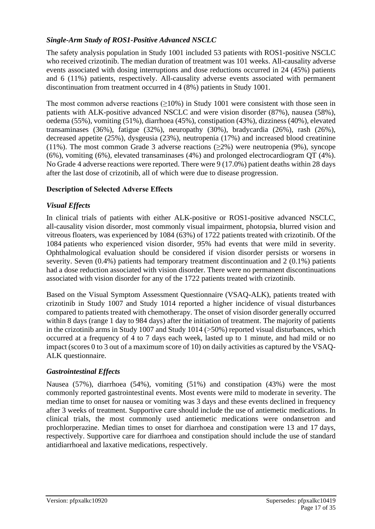#### *Single-Arm Study of ROS1-Positive Advanced NSCLC*

The safety analysis population in Study 1001 included 53 patients with ROS1-positive NSCLC who received crizotinib. The median duration of treatment was 101 weeks. All-causality adverse events associated with dosing interruptions and dose reductions occurred in 24 (45%) patients and 6 (11%) patients, respectively. All-causality adverse events associated with permanent discontinuation from treatment occurred in 4 (8%) patients in Study 1001.

The most common adverse reactions (>10%) in Study 1001 were consistent with those seen in patients with ALK-positive advanced NSCLC and were vision disorder (87%), nausea (58%), oedema (55%), vomiting (51%), diarrhoea (45%), constipation (43%), dizziness (40%), elevated transaminases (36%), fatigue (32%), neuropathy (30%), bradycardia (26%), rash (26%), decreased appetite (25%), dysgeusia (23%), neutropenia (17%) and increased blood creatinine (11%). The most common Grade 3 adverse reactions  $(\geq 2\%)$  were neutropenia (9%), syncope (6%), vomiting (6%), elevated transaminases (4%) and prolonged electrocardiogram QT (4%). No Grade 4 adverse reactions were reported. There were 9 (17.0%) patient deaths within 28 days after the last dose of crizotinib, all of which were due to disease progression.

#### **Description of Selected Adverse Effects**

#### *Visual Effects*

In clinical trials of patients with either ALK-positive or ROS1-positive advanced NSCLC, all-causality vision disorder, most commonly visual impairment, photopsia, blurred vision and vitreous floaters, was experienced by 1084 (63%) of 1722 patients treated with crizotinib. Of the 1084 patients who experienced vision disorder, 95% had events that were mild in severity. Ophthalmological evaluation should be considered if vision disorder persists or worsens in severity. Seven (0.4%) patients had temporary treatment discontinuation and 2 (0.1%) patients had a dose reduction associated with vision disorder. There were no permanent discontinuations associated with vision disorder for any of the 1722 patients treated with crizotinib.

Based on the Visual Symptom Assessment Questionnaire (VSAQ-ALK), patients treated with crizotinib in Study 1007 and Study 1014 reported a higher incidence of visual disturbances compared to patients treated with chemotherapy. The onset of vision disorder generally occurred within 8 days (range 1 day to 984 days) after the initiation of treatment. The majority of patients in the crizotinib arms in Study 1007 and Study 1014 (>50%) reported visual disturbances, which occurred at a frequency of 4 to 7 days each week, lasted up to 1 minute, and had mild or no impact (scores 0 to 3 out of a maximum score of 10) on daily activities as captured by the VSAQ-ALK questionnaire.

#### *Gastrointestinal Effects*

Nausea (57%), diarrhoea (54%), vomiting (51%) and constipation (43%) were the most commonly reported gastrointestinal events. Most events were mild to moderate in severity. The median time to onset for nausea or vomiting was 3 days and these events declined in frequency after 3 weeks of treatment. Supportive care should include the use of antiemetic medications. In clinical trials, the most commonly used antiemetic medications were ondansetron and prochlorperazine. Median times to onset for diarrhoea and constipation were 13 and 17 days, respectively. Supportive care for diarrhoea and constipation should include the use of standard antidiarrhoeal and laxative medications, respectively.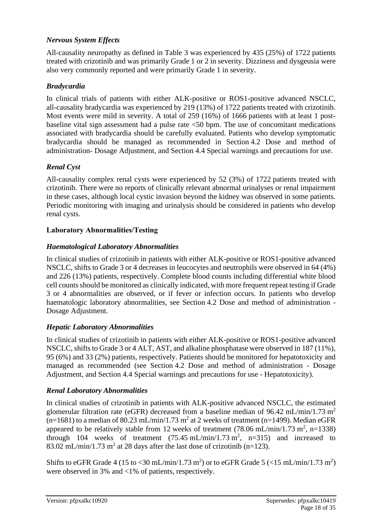### *Nervous System Effects*

All-causality neuropathy as defined in Table 3 was experienced by 435 (25%) of 1722 patients treated with crizotinib and was primarily Grade 1 or 2 in severity. Dizziness and dysgeusia were also very commonly reported and were primarily Grade 1 in severity.

#### *Bradycardia*

In clinical trials of patients with either ALK-positive or ROS1-positive advanced NSCLC, all-causality bradycardia was experienced by 219 (13%) of 1722 patients treated with crizotinib. Most events were mild in severity. A total of 259 (16%) of 1666 patients with at least 1 postbaseline vital sign assessment had a pulse rate <50 bpm. The use of concomitant medications associated with bradycardia should be carefully evaluated. Patients who develop symptomatic bradycardia should be managed as recommended in Section 4.2 Dose and method of administration- Dosage Adjustment, and Section 4.4 Special warnings and precautions for use.

#### *Renal Cyst*

All-causality complex renal cysts were experienced by 52 (3%) of 1722 patients treated with crizotinib. There were no reports of clinically relevant abnormal urinalyses or renal impairment in these cases, although local cystic invasion beyond the kidney was observed in some patients. Periodic monitoring with imaging and urinalysis should be considered in patients who develop renal cysts.

#### **Laboratory Abnormalities/Testing**

#### *Haematological Laboratory Abnormalities*

In clinical studies of crizotinib in patients with either ALK-positive or ROS1-positive advanced NSCLC, shifts to Grade 3 or 4 decreases in leucocytes and neutrophils were observed in 64 (4%) and 226 (13%) patients, respectively. Complete blood counts including differential white blood cell counts should be monitored as clinically indicated, with more frequent repeat testing if Grade 3 or 4 abnormalities are observed, or if fever or infection occurs. In patients who develop haematologic laboratory abnormalities, see Section 4.2 Dose and method of administration - Dosage Adjustment.

## *Hepatic Laboratory Abnormalities*

In clinical studies of crizotinib in patients with either ALK-positive or ROS1-positive advanced NSCLC, shifts to Grade 3 or 4 ALT, AST, and alkaline phosphatase were observed in 187 (11%), 95 (6%) and 33 (2%) patients, respectively. Patients should be monitored for hepatotoxicity and managed as recommended (see Section 4.2 Dose and method of administration - Dosage Adjustment, and Section 4.4 Special warnings and precautions for use - Hepatotoxicity).

#### *Renal Laboratory Abnormalities*

In clinical studies of crizotinib in patients with ALK-positive advanced NSCLC, the estimated glomerular filtration rate (eGFR) decreased from a baseline median of  $96.42 \text{ mL/min}/1.73 \text{ m}^2$  $(n=1681)$  to a median of 80.23 mL/min/1.73 m<sup>2</sup> at 2 weeks of treatment (n=1499). Median eGFR appeared to be relatively stable from 12 weeks of treatment (78.06 mL/min/1.73 m<sup>2</sup>, n=1338) through 104 weeks of treatment  $(75.45 \text{ mL/min}/1.73 \text{ m}^2, \text{ n=315})$  and increased to 83.02 mL/min/1.73 m<sup>2</sup> at 28 days after the last dose of crizotinib (n=123).

Shifts to eGFR Grade 4 (15 to <30 mL/min/1.73 m<sup>2</sup>) or to eGFR Grade 5 (<15 mL/min/1.73 m<sup>2</sup>) were observed in 3% and <1% of patients, respectively.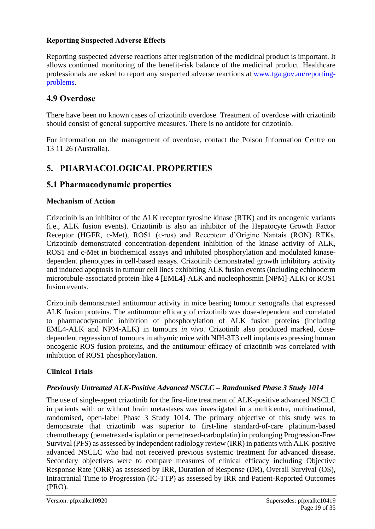#### **Reporting Suspected Adverse Effects**

Reporting suspected adverse reactions after registration of the medicinal product is important. It allows continued monitoring of the benefit-risk balance of the medicinal product. Healthcare professionals are asked to report any suspected adverse reactions at [www.tga.gov.au/reporting](http://www.tga.gov.au/reporting-problems)[problems.](http://www.tga.gov.au/reporting-problems)

## **4.9 Overdose**

There have been no known cases of crizotinib overdose. Treatment of overdose with crizotinib should consist of general supportive measures. There is no antidote for crizotinib.

For information on the management of overdose, contact the Poison Information Centre on 13 11 26 (Australia).

# **5. PHARMACOLOGICAL PROPERTIES**

# **5.1 Pharmacodynamic properties**

#### **Mechanism of Action**

Crizotinib is an inhibitor of the ALK receptor tyrosine kinase (RTK) and its oncogenic variants (i.e., ALK fusion events). Crizotinib is also an inhibitor of the Hepatocyte Growth Factor Receptor (HGFR, c-Met), ROS1 (c-ros) and Recepteur d'Origine Nantais (RON) RTKs. Crizotinib demonstrated concentration-dependent inhibition of the kinase activity of ALK, ROS1 and c-Met in biochemical assays and inhibited phosphorylation and modulated kinasedependent phenotypes in cell-based assays. Crizotinib demonstrated growth inhibitory activity and induced apoptosis in tumour cell lines exhibiting ALK fusion events (including echinoderm microtubule-associated protein-like 4 [EML4]-ALK and nucleophosmin [NPM]-ALK) or ROS1 fusion events.

Crizotinib demonstrated antitumour activity in mice bearing tumour xenografts that expressed ALK fusion proteins. The antitumour efficacy of crizotinib was dose-dependent and correlated to pharmacodynamic inhibition of phosphorylation of ALK fusion proteins (including EML4-ALK and NPM-ALK) in tumours *in vivo*. Crizotinib also produced marked, dosedependent regression of tumours in athymic mice with NIH-3T3 cell implants expressing human oncogenic ROS fusion proteins, and the antitumour efficacy of crizotinib was correlated with inhibition of ROS1 phosphorylation.

#### **Clinical Trials**

#### *Previously Untreated ALK-Positive Advanced NSCLC – Randomised Phase 3 Study 1014*

The use of single-agent crizotinib for the first-line treatment of ALK-positive advanced NSCLC in patients with or without brain metastases was investigated in a multicentre, multinational, randomised, open-label Phase 3 Study 1014. The primary objective of this study was to demonstrate that crizotinib was superior to first-line standard-of-care platinum-based chemotherapy (pemetrexed-cisplatin or pemetrexed-carboplatin) in prolonging Progression-Free Survival (PFS) as assessed by independent radiology review (IRR) in patients with ALK-positive advanced NSCLC who had not received previous systemic treatment for advanced disease. Secondary objectives were to compare measures of clinical efficacy including Objective Response Rate (ORR) as assessed by IRR, Duration of Response (DR), Overall Survival (OS), Intracranial Time to Progression (IC-TTP) as assessed by IRR and Patient-Reported Outcomes (PRO).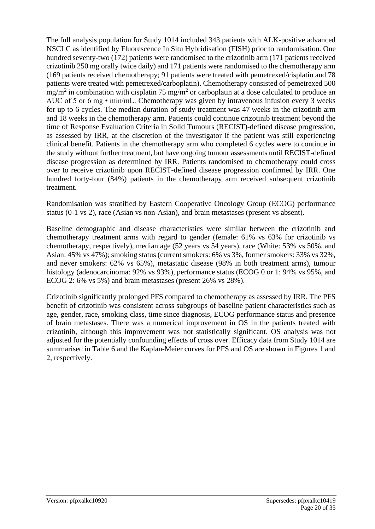The full analysis population for Study 1014 included 343 patients with ALK-positive advanced NSCLC as identified by Fluorescence In Situ Hybridisation (FISH) prior to randomisation. One hundred seventy-two (172) patients were randomised to the crizotinib arm (171 patients received crizotinib 250 mg orally twice daily) and 171 patients were randomised to the chemotherapy arm (169 patients received chemotherapy; 91 patients were treated with pemetrexed/cisplatin and 78 patients were treated with pemetrexed/carboplatin). Chemotherapy consisted of pemetrexed 500  $mg/m<sup>2</sup>$  in combination with cisplatin 75 mg/m<sup>2</sup> or carboplatin at a dose calculated to produce an AUC of 5 or 6 mg • min/mL. Chemotherapy was given by intravenous infusion every 3 weeks for up to 6 cycles. The median duration of study treatment was 47 weeks in the crizotinib arm and 18 weeks in the chemotherapy arm. Patients could continue crizotinib treatment beyond the time of Response Evaluation Criteria in Solid Tumours (RECIST)-defined disease progression, as assessed by IRR, at the discretion of the investigator if the patient was still experiencing clinical benefit. Patients in the chemotherapy arm who completed 6 cycles were to continue in the study without further treatment, but have ongoing tumour assessments until RECIST-defined disease progression as determined by IRR. Patients randomised to chemotherapy could cross over to receive crizotinib upon RECIST-defined disease progression confirmed by IRR. One hundred forty-four (84%) patients in the chemotherapy arm received subsequent crizotinib treatment.

Randomisation was stratified by Eastern Cooperative Oncology Group (ECOG) performance status (0-1 vs 2), race (Asian vs non-Asian), and brain metastases (present vs absent).

Baseline demographic and disease characteristics were similar between the crizotinib and chemotherapy treatment arms with regard to gender (female: 61% vs 63% for crizotinib vs chemotherapy, respectively), median age (52 years vs 54 years), race (White: 53% vs 50%, and Asian: 45% vs 47%); smoking status (current smokers: 6% vs 3%, former smokers: 33% vs 32%, and never smokers: 62% vs 65%), metastatic disease (98% in both treatment arms), tumour histology (adenocarcinoma: 92% vs 93%), performance status (ECOG 0 or 1: 94% vs 95%, and ECOG 2: 6% vs 5%) and brain metastases (present 26% vs 28%).

Crizotinib significantly prolonged PFS compared to chemotherapy as assessed by IRR. The PFS benefit of crizotinib was consistent across subgroups of baseline patient characteristics such as age, gender, race, smoking class, time since diagnosis, ECOG performance status and presence of brain metastases. There was a numerical improvement in OS in the patients treated with crizotinib, although this improvement was not statistically significant. OS analysis was not adjusted for the potentially confounding effects of cross over. Efficacy data from Study 1014 are summarised in Table 6 and the Kaplan-Meier curves for PFS and OS are shown in Figures 1 and 2, respectively.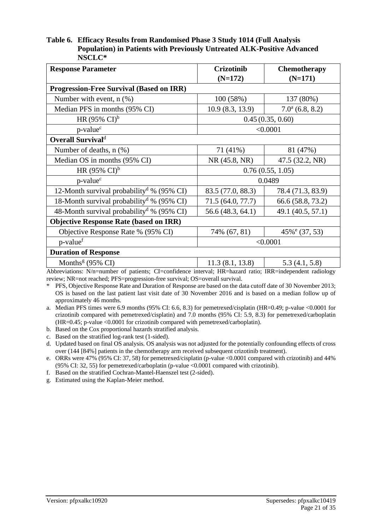#### **Table 6. Efficacy Results from Randomised Phase 3 Study 1014 (Full Analysis Population) in Patients with Previously Untreated ALK-Positive Advanced NSCLC\***

| <b>Response Parameter</b>                             | <b>Crizotinib</b><br>$(N=172)$ | <b>Chemotherapy</b><br>$(N=171)$ |  |
|-------------------------------------------------------|--------------------------------|----------------------------------|--|
| <b>Progression-Free Survival (Based on IRR)</b>       |                                |                                  |  |
| Number with event, $n$ $(\%)$                         | 100 (58%)                      | 137 (80%)                        |  |
| Median PFS in months (95% CI)                         | 10.9(8.3, 13.9)                | $7.0a$ (6.8, 8.2)                |  |
| HR $(95\% \text{ CI})^b$                              |                                | 0.45(0.35, 0.60)                 |  |
| p-value <sup>c</sup>                                  | < 0.0001                       |                                  |  |
| <b>Overall Survivald</b>                              |                                |                                  |  |
| Number of deaths, n (%)                               | 71 (41%)                       | 81 (47%)                         |  |
| Median OS in months (95% CI)                          | NR (45.8, NR)                  | 47.5 (32.2, NR)                  |  |
| HR $(95\% \text{ CI})^b$                              |                                | 0.76(0.55, 1.05)                 |  |
| p-value <sup>c</sup>                                  |                                | 0.0489                           |  |
| 12-Month survival probability <sup>d</sup> % (95% CI) | 83.5 (77.0, 88.3)              | 78.4 (71.3, 83.9)                |  |
| 18-Month survival probability <sup>d</sup> % (95% CI) | 71.5 (64.0, 77.7)              | 66.6 (58.8, 73.2)                |  |
| 48-Month survival probability <sup>d</sup> % (95% CI) | 56.6 (48.3, 64.1)              | 49.1 (40.5, 57.1)                |  |
| <b>Objective Response Rate (based on IRR)</b>         |                                |                                  |  |
| Objective Response Rate % (95% CI)                    | 74% (67, 81)                   | $45\%$ <sup>e</sup> (37, 53)     |  |
| p-value <sup>f</sup>                                  | < 0.0001                       |                                  |  |
| <b>Duration of Response</b>                           |                                |                                  |  |
| Months <sup>g</sup> $(95\% \text{ CI})$               | 11.3(8.1, 13.8)                | 5.3(4.1, 5.8)                    |  |

Abbreviations: N/n=number of patients; CI=confidence interval; HR=hazard ratio; IRR=independent radiology review; NR=not reached; PFS=progression-free survival; OS=overall survival.

\* PFS, Objective Response Rate and Duration of Response are based on the data cutoff date of 30 November 2013; OS is based on the last patient last visit date of 30 November 2016 and is based on a median follow up of approximately 46 months.

a. Median PFS times were 6.9 months (95% CI: 6.6, 8.3) for pemetrexed/cisplatin (HR=0.49; p-value <0.0001 for crizotinib compared with pemetrexed/cisplatin) and 7.0 months (95% CI: 5.9, 8.3) for pemetrexed/carboplatin (HR=0.45; p-value <0.0001 for crizotinib compared with pemetrexed/carboplatin).

b. Based on the Cox proportional hazards stratified analysis.

c. Based on the stratified log-rank test (1-sided).

d. Updated based on final OS analysis. OS analysis was not adjusted for the potentially confounding effects of cross over (144 [84%] patients in the chemotherapy arm received subsequent crizotinib treatment).

e. ORRs were 47% (95% CI: 37, 58) for pemetrexed/cisplatin (p-value <0.0001 compared with crizotinib) and 44% (95% CI: 32, 55) for pemetrexed/carboplatin (p-value <0.0001 compared with crizotinib).

f. Based on the stratified Cochran-Mantel-Haenszel test (2-sided).

g. Estimated using the Kaplan-Meier method.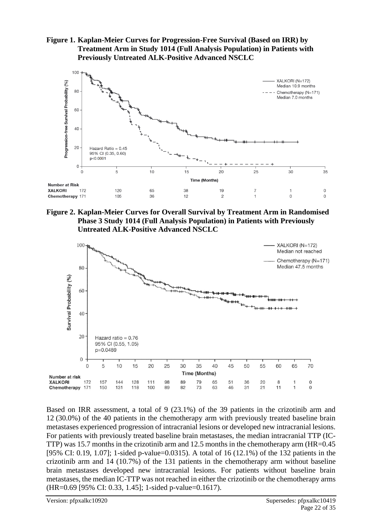**Figure 1. Kaplan-Meier Curves for Progression-Free Survival (Based on IRR) by Treatment Arm in Study 1014 (Full Analysis Population) in Patients with Previously Untreated ALK-Positive Advanced NSCLC**



**Figure 2. Kaplan-Meier Curves for Overall Survival by Treatment Arm in Randomised Phase 3 Study 1014 (Full Analysis Population) in Patients with Previously Untreated ALK-Positive Advanced NSCLC**



Based on IRR assessment, a total of 9 (23.1%) of the 39 patients in the crizotinib arm and 12 (30.0%) of the 40 patients in the chemotherapy arm with previously treated baseline brain metastases experienced progression of intracranial lesions or developed new intracranial lesions. For patients with previously treated baseline brain metastases, the median intracranial TTP (IC-TTP) was 15.7 months in the crizotinib arm and 12.5 months in the chemotherapy arm (HR=0.45 [95% CI: 0.19, 1.07]; 1-sided p-value=0.0315). A total of 16 (12.1%) of the 132 patients in the crizotinib arm and 14 (10.7%) of the 131 patients in the chemotherapy arm without baseline brain metastases developed new intracranial lesions. For patients without baseline brain metastases, the median IC-TTP was not reached in either the crizotinib or the chemotherapy arms (HR=0.69 [95% CI: 0.33, 1.45]; 1-sided p-value=0.1617).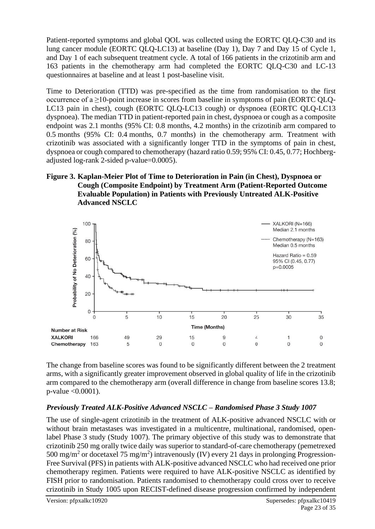Patient-reported symptoms and global QOL was collected using the EORTC QLQ-C30 and its lung cancer module (EORTC QLQ-LC13) at baseline (Day 1), Day 7 and Day 15 of Cycle 1, and Day 1 of each subsequent treatment cycle. A total of 166 patients in the crizotinib arm and 163 patients in the chemotherapy arm had completed the EORTC QLQ-C30 and LC-13 questionnaires at baseline and at least 1 post-baseline visit.

Time to Deterioration (TTD) was pre-specified as the time from randomisation to the first occurrence of a ≥10-point increase in scores from baseline in symptoms of pain (EORTC QLQ-LC13 pain in chest), cough (EORTC QLQ-LC13 cough) or dyspnoea (EORTC QLQ-LC13 dyspnoea). The median TTD in patient-reported pain in chest, dyspnoea or cough as a composite endpoint was 2.1 months (95% CI: 0.8 months, 4.2 months) in the crizotinib arm compared to 0.5 months (95% CI: 0.4 months, 0.7 months) in the chemotherapy arm. Treatment with crizotinib was associated with a significantly longer TTD in the symptoms of pain in chest, dyspnoea or cough compared to chemotherapy (hazard ratio 0.59; 95% CI: 0.45, 0.77; Hochbergadjusted log-rank 2-sided p-value=0.0005).

#### **Figure 3. Kaplan-Meier Plot of Time to Deterioration in Pain (in Chest), Dyspnoea or Cough (Composite Endpoint) by Treatment Arm (Patient-Reported Outcome Evaluable Population) in Patients with Previously Untreated ALK-Positive Advanced NSCLC**



The change from baseline scores was found to be significantly different between the 2 treatment arms, with a significantly greater improvement observed in global quality of life in the crizotinib arm compared to the chemotherapy arm (overall difference in change from baseline scores 13.8; p-value <0.0001).

#### *Previously Treated ALK-Positive Advanced NSCLC – Randomised Phase 3 Study 1007*

The use of single-agent crizotinib in the treatment of ALK-positive advanced NSCLC with or without brain metastases was investigated in a multicentre, multinational, randomised, openlabel Phase 3 study (Study 1007). The primary objective of this study was to demonstrate that crizotinib 250 mg orally twice daily was superior to standard-of-care chemotherapy (pemetrexed 500 mg/m<sup>2</sup> or docetaxel 75 mg/m<sup>2</sup>) intravenously (IV) every 21 days in prolonging Progression-Free Survival (PFS) in patients with ALK-positive advanced NSCLC who had received one prior chemotherapy regimen. Patients were required to have ALK-positive NSCLC as identified by FISH prior to randomisation. Patients randomised to chemotherapy could cross over to receive crizotinib in Study 1005 upon RECIST-defined disease progression confirmed by independent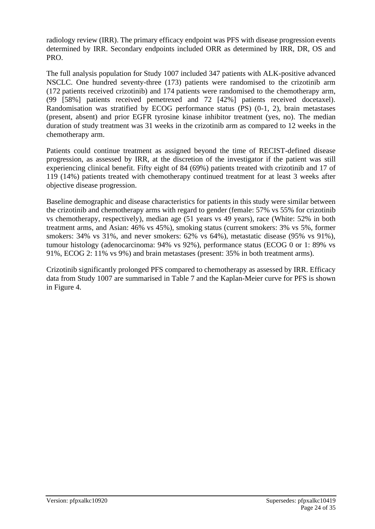radiology review (IRR). The primary efficacy endpoint was PFS with disease progression events determined by IRR. Secondary endpoints included ORR as determined by IRR, DR, OS and PRO.

The full analysis population for Study 1007 included 347 patients with ALK-positive advanced NSCLC. One hundred seventy-three (173) patients were randomised to the crizotinib arm (172 patients received crizotinib) and 174 patients were randomised to the chemotherapy arm, (99 [58%] patients received pemetrexed and 72 [42%] patients received docetaxel). Randomisation was stratified by ECOG performance status (PS) (0-1, 2), brain metastases (present, absent) and prior EGFR tyrosine kinase inhibitor treatment (yes, no). The median duration of study treatment was 31 weeks in the crizotinib arm as compared to 12 weeks in the chemotherapy arm.

Patients could continue treatment as assigned beyond the time of RECIST-defined disease progression, as assessed by IRR, at the discretion of the investigator if the patient was still experiencing clinical benefit. Fifty eight of 84 (69%) patients treated with crizotinib and 17 of 119 (14%) patients treated with chemotherapy continued treatment for at least 3 weeks after objective disease progression.

Baseline demographic and disease characteristics for patients in this study were similar between the crizotinib and chemotherapy arms with regard to gender (female: 57% vs 55% for crizotinib vs chemotherapy, respectively), median age (51 years vs 49 years), race (White: 52% in both treatment arms, and Asian: 46% vs 45%), smoking status (current smokers: 3% vs 5%, former smokers: 34% vs 31%, and never smokers: 62% vs 64%), metastatic disease (95% vs 91%), tumour histology (adenocarcinoma: 94% vs 92%), performance status (ECOG 0 or 1: 89% vs 91%, ECOG 2: 11% vs 9%) and brain metastases (present: 35% in both treatment arms).

Crizotinib significantly prolonged PFS compared to chemotherapy as assessed by IRR. Efficacy data from Study 1007 are summarised in Table 7 and the Kaplan-Meier curve for PFS is shown in Figure 4.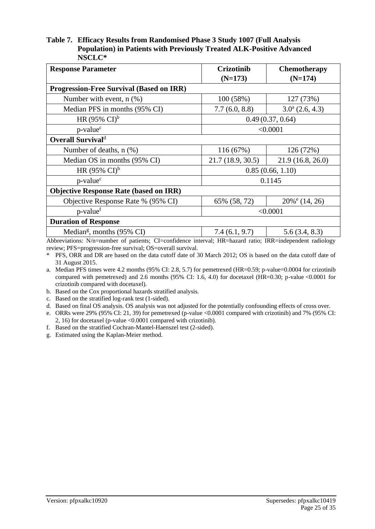#### **Table 7. Efficacy Results from Randomised Phase 3 Study 1007 (Full Analysis Population) in Patients with Previously Treated ALK-Positive Advanced NSCLC\***

| <b>Crizotinib</b><br>$(N=173)$                  | <b>Chemotherapy</b><br>$(N=174)$                                                                          |  |  |  |  |
|-------------------------------------------------|-----------------------------------------------------------------------------------------------------------|--|--|--|--|
| <b>Progression-Free Survival (Based on IRR)</b> |                                                                                                           |  |  |  |  |
| 100 (58%)                                       | 127 (73%)                                                                                                 |  |  |  |  |
| 7.7(6.0, 8.8)                                   | $3.0^a$ (2.6, 4.3)                                                                                        |  |  |  |  |
| 0.49(0.37, 0.64)                                |                                                                                                           |  |  |  |  |
| < 0.0001                                        |                                                                                                           |  |  |  |  |
| <b>Overall Survivald</b>                        |                                                                                                           |  |  |  |  |
| 116(67%)                                        | 126 (72%)                                                                                                 |  |  |  |  |
| 21.7 (18.9, 30.5)                               | 21.9(16.8, 26.0)                                                                                          |  |  |  |  |
|                                                 | 0.85(0.66, 1.10)                                                                                          |  |  |  |  |
|                                                 | 0.1145                                                                                                    |  |  |  |  |
|                                                 |                                                                                                           |  |  |  |  |
| 65% (58, 72)                                    | $20\%$ <sup>e</sup> (14, 26)                                                                              |  |  |  |  |
| < 0.0001                                        |                                                                                                           |  |  |  |  |
| <b>Duration of Response</b>                     |                                                                                                           |  |  |  |  |
| 7.4(6.1, 9.7)                                   | 5.6(3.4, 8.3)                                                                                             |  |  |  |  |
|                                                 | Abbreviations: N/n-number of patients: CI-confidence interval: HR-hazard ratio: IRR-independent radiology |  |  |  |  |

Abbreviations: N/n=number of patients; CI=confidence interval; HR=hazard ratio; IRR=independent radiology review; PFS=progression-free survival; OS=overall survival.

\* PFS, ORR and DR are based on the data cutoff date of 30 March 2012; OS is based on the data cutoff date of 31 August 2015.

a. Median PFS times were 4.2 months (95% CI: 2.8, 5.7) for pemetrexed (HR=0.59; p-value=0.0004 for crizotinib compared with pemetrexed) and 2.6 months (95% CI: 1.6, 4.0) for docetaxel (HR=0.30; p-value <0.0001 for crizotinib compared with docetaxel).

b. Based on the Cox proportional hazards stratified analysis.

c. Based on the stratified log-rank test (1-sided).

d. Based on final OS analysis. OS analysis was not adjusted for the potentially confounding effects of cross over.

e. ORRs were 29% (95% CI: 21, 39) for pemetrexed (p-value <0.0001 compared with crizotinib) and 7% (95% CI: 2, 16) for docetaxel (p-value <0.0001 compared with crizotinib).

f. Based on the stratified Cochran-Mantel-Haenszel test (2-sided).

g. Estimated using the Kaplan-Meier method.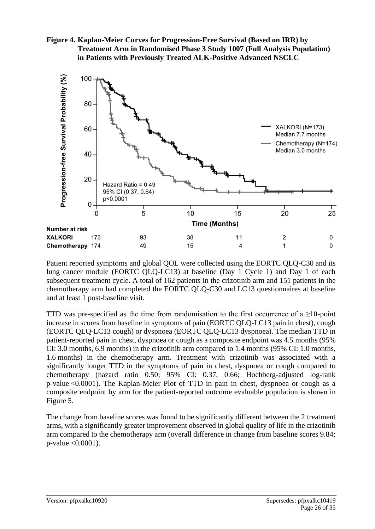



Patient reported symptoms and global QOL were collected using the EORTC QLQ-C30 and its lung cancer module (EORTC QLQ-LC13) at baseline (Day 1 Cycle 1) and Day 1 of each subsequent treatment cycle. A total of 162 patients in the crizotinib arm and 151 patients in the chemotherapy arm had completed the EORTC QLQ-C30 and LC13 questionnaires at baseline and at least 1 post-baseline visit.

TTD was pre-specified as the time from randomisation to the first occurrence of a >10-point increase in scores from baseline in symptoms of pain (EORTC QLQ-LC13 pain in chest), cough (EORTC QLQ-LC13 cough) or dyspnoea (EORTC QLQ-LC13 dyspnoea). The median TTD in patient-reported pain in chest, dyspnoea or cough as a composite endpoint was 4.5 months (95% CI: 3.0 months, 6.9 months) in the crizotinib arm compared to 1.4 months (95% CI: 1.0 months, 1.6 months) in the chemotherapy arm. Treatment with crizotinib was associated with a significantly longer TTD in the symptoms of pain in chest, dyspnoea or cough compared to chemotherapy (hazard ratio 0.50; 95% CI: 0.37, 0.66; Hochberg-adjusted log-rank p-value <0.0001). The Kaplan-Meier Plot of TTD in pain in chest, dyspnoea or cough as a composite endpoint by arm for the patient-reported outcome evaluable population is shown in Figure 5.

The change from baseline scores was found to be significantly different between the 2 treatment arms, with a significantly greater improvement observed in global quality of life in the crizotinib arm compared to the chemotherapy arm (overall difference in change from baseline scores 9.84; p-value <0.0001).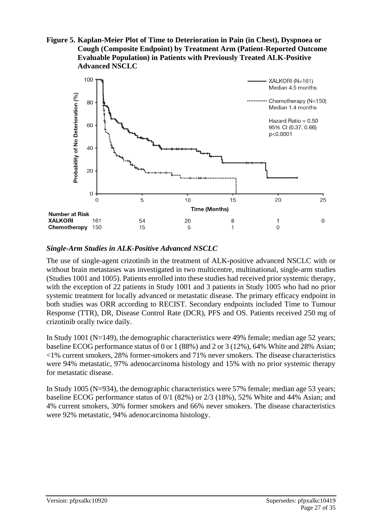**Figure 5. Kaplan-Meier Plot of Time to Deterioration in Pain (in Chest), Dyspnoea or Cough (Composite Endpoint) by Treatment Arm (Patient-Reported Outcome Evaluable Population) in Patients with Previously Treated ALK-Positive Advanced NSCLC**



#### *Single-Arm Studies in ALK-Positive Advanced NSCLC*

The use of single-agent crizotinib in the treatment of ALK-positive advanced NSCLC with or without brain metastases was investigated in two multicentre, multinational, single-arm studies (Studies 1001 and 1005). Patients enrolled into these studies had received prior systemic therapy, with the exception of 22 patients in Study 1001 and 3 patients in Study 1005 who had no prior systemic treatment for locally advanced or metastatic disease. The primary efficacy endpoint in both studies was ORR according to RECIST. Secondary endpoints included Time to Tumour Response (TTR), DR, Disease Control Rate (DCR), PFS and OS. Patients received 250 mg of crizotinib orally twice daily.

In Study 1001 (N=149), the demographic characteristics were 49% female; median age 52 years; baseline ECOG performance status of 0 or 1 (88%) and 2 or 3 (12%), 64% White and 28% Asian; <1% current smokers, 28% former-smokers and 71% never smokers. The disease characteristics were 94% metastatic, 97% adenocarcinoma histology and 15% with no prior systemic therapy for metastatic disease.

In Study 1005 (N=934), the demographic characteristics were 57% female; median age 53 years; baseline ECOG performance status of 0/1 (82%) or 2/3 (18%), 52% White and 44% Asian; and 4% current smokers, 30% former smokers and 66% never smokers. The disease characteristics were 92% metastatic, 94% adenocarcinoma histology.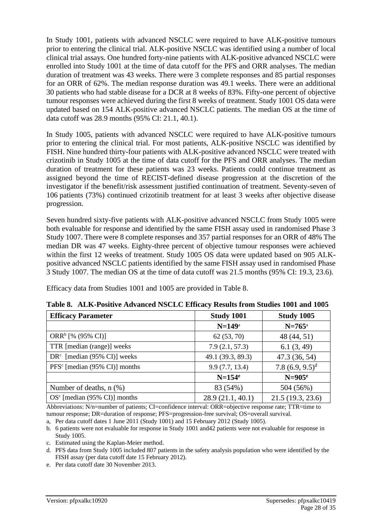In Study 1001, patients with advanced NSCLC were required to have ALK-positive tumours prior to entering the clinical trial. ALK-positive NSCLC was identified using a number of local clinical trial assays. One hundred forty-nine patients with ALK-positive advanced NSCLC were enrolled into Study 1001 at the time of data cutoff for the PFS and ORR analyses. The median duration of treatment was 43 weeks. There were 3 complete responses and 85 partial responses for an ORR of 62%. The median response duration was 49.1 weeks. There were an additional 30 patients who had stable disease for a DCR at 8 weeks of 83%. Fifty-one percent of objective tumour responses were achieved during the first 8 weeks of treatment. Study 1001 OS data were updated based on 154 ALK-positive advanced NSCLC patients. The median OS at the time of data cutoff was 28.9 months (95% CI: 21.1, 40.1).

In Study 1005, patients with advanced NSCLC were required to have ALK-positive tumours prior to entering the clinical trial. For most patients, ALK-positive NSCLC was identified by FISH. Nine hundred thirty-four patients with ALK-positive advanced NSCLC were treated with crizotinib in Study 1005 at the time of data cutoff for the PFS and ORR analyses. The median duration of treatment for these patients was 23 weeks. Patients could continue treatment as assigned beyond the time of RECIST-defined disease progression at the discretion of the investigator if the benefit/risk assessment justified continuation of treatment. Seventy-seven of 106 patients (73%) continued crizotinib treatment for at least 3 weeks after objective disease progression.

Seven hundred sixty-five patients with ALK-positive advanced NSCLC from Study 1005 were both evaluable for response and identified by the same FISH assay used in randomised Phase 3 Study 1007. There were 8 complete responses and 357 partial responses for an ORR of 48% The median DR was 47 weeks. Eighty-three percent of objective tumour responses were achieved within the first 12 weeks of treatment. Study 1005 OS data were updated based on 905 ALKpositive advanced NSCLC patients identified by the same FISH assay used in randomised Phase 3 Study 1007. The median OS at the time of data cutoff was 21.5 months (95% CI: 19.3, 23.6).

Efficacy data from Studies 1001 and 1005 are provided in Table 8.

| <b>Efficacy Parameter</b>       | Study 1001        | Study 1005         |
|---------------------------------|-------------------|--------------------|
|                                 | $N=149^{\circ}$   | $N = 765^{\circ}$  |
| ORR <sup>b</sup> [% (95% CI)]   | 62(53, 70)        | 48 (44, 51)        |
| TTR [median (range)] weeks      | 7.9(2.1, 57.3)    | 6.1(3, 49)         |
| $DRc$ [median (95% CI)] weeks   | 49.1 (39.3, 89.3) | 47.3 (36, 54)      |
| $PFSc$ [median (95% CI)] months | 9.9(7.7, 13.4)    | 7.8 $(6.9, 9.5)^d$ |
|                                 | $N=154^e$         | $N=905^{\circ}$    |
| Number of deaths, $n$ $(\%)$    | 83 (54%)          | 504 (56%)          |
| $OSc$ [median (95% CI)] months  | 28.9(21.1, 40.1)  | 21.5(19.3, 23.6)   |

| Table 8. ALK-Positive Advanced NSCLC Efficacy Results from Studies 1001 and 1005 |  |  |  |
|----------------------------------------------------------------------------------|--|--|--|
|                                                                                  |  |  |  |

Abbreviations: N/n=number of patients; CI=confidence interval: ORR=objective response rate; TTR=time to tumour response; DR=duration of response; PFS=progression-free survival; OS=overall survival.

a, Per data cutoff dates 1 June 2011 (Study 1001) and 15 February 2012 (Study 1005).

b. 6 patients were not evaluable for response in Study 1001 and42 patients were not evaluable for response in Study 1005.

c. Estimated using the Kaplan-Meier method.

d. PFS data from Study 1005 included 807 patients in the safety analysis population who were identified by the FISH assay (per data cutoff date 15 February 2012).

e. Per data cutoff date 30 November 2013.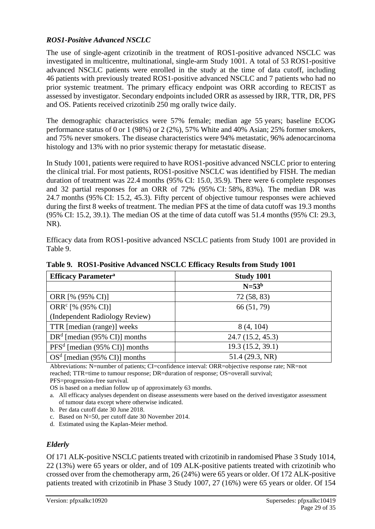#### *ROS1-Positive Advanced NSCLC*

The use of single-agent crizotinib in the treatment of ROS1-positive advanced NSCLC was investigated in multicentre, multinational, single-arm Study 1001. A total of 53 ROS1-positive advanced NSCLC patients were enrolled in the study at the time of data cutoff, including 46 patients with previously treated ROS1-positive advanced NSCLC and 7 patients who had no prior systemic treatment. The primary efficacy endpoint was ORR according to RECIST as assessed by investigator. Secondary endpoints included ORR as assessed by IRR*,* TTR, DR, PFS and OS. Patients received crizotinib 250 mg orally twice daily.

The demographic characteristics were 57% female; median age 55 years; baseline ECOG performance status of 0 or 1 (98%) or 2 (2%), 57% White and 40% Asian; 25% former smokers, and 75% never smokers. The disease characteristics were 94% metastatic, 96% adenocarcinoma histology and 13% with no prior systemic therapy for metastatic disease.

In Study 1001, patients were required to have ROS1-positive advanced NSCLC prior to entering the clinical trial. For most patients, ROS1-positive NSCLC was identified by FISH. The median duration of treatment was 22.4 months (95% CI: 15.0, 35.9). There were 6 complete responses and 32 partial responses for an ORR of 72% (95% CI: 58%, 83%). The median DR was 24.7 months (95% CI: 15.2, 45.3). Fifty percent of objective tumour responses were achieved during the first 8 weeks of treatment. The median PFS at the time of data cutoff was 19.3 months (95% CI: 15.2, 39.1). The median OS at the time of data cutoff was 51.4 months (95% CI: 29.3, NR).

Efficacy data from ROS1-positive advanced NSCLC patients from Study 1001 are provided in Table 9.

| <b>Efficacy Parameter<sup>a</sup></b> | <b>Study 1001</b> |  |  |
|---------------------------------------|-------------------|--|--|
|                                       | $N=53b$           |  |  |
| ORR [% (95% CI)]                      | 72 (58, 83)       |  |  |
| ORR <sup>c</sup> [% $(95\%$ CI)]      | 66 (51, 79)       |  |  |
| (Independent Radiology Review)        |                   |  |  |
| TTR [median (range)] weeks            | 8(4, 104)         |  |  |
| $DRd$ [median (95% CI)] months        | 24.7(15.2, 45.3)  |  |  |
| $PFS^d$ [median (95% CI)] months      | 19.3 (15.2, 39.1) |  |  |
| $OSd$ [median (95% CI)] months        | 51.4(29.3, NR)    |  |  |

**Table 9. ROS1-Positive Advanced NSCLC Efficacy Results from Study 1001**

Abbreviations: N=number of patients; CI=confidence interval: ORR=objective response rate; NR=not reached; TTR=time to tumour response; DR=duration of response; OS=overall survival; PFS=progression-free survival.

OS is based on a median follow up of approximately 63 months.

- b. Per data cutoff date 30 June 2018.
- c. Based on N=50, per cutoff date 30 November 2014.

d. Estimated using the Kaplan-Meier method.

#### *Elderly*

Of 171 ALK-positive NSCLC patients treated with crizotinib in randomised Phase 3 Study 1014, 22 (13%) were 65 years or older, and of 109 ALK-positive patients treated with crizotinib who crossed over from the chemotherapy arm, 26 (24%) were 65 years or older. Of 172 ALK-positive patients treated with crizotinib in Phase 3 Study 1007, 27 (16%) were 65 years or older. Of 154

a. All efficacy analyses dependent on disease assessments were based on the derived investigator assessment of tumour data except where otherwise indicated.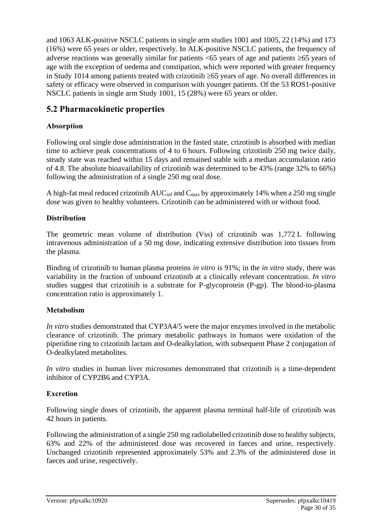and 1063 ALK-positive NSCLC patients in single arm studies 1001 and 1005, 22 (14%) and 173 (16%) were 65 years or older, respectively. In ALK-positive NSCLC patients, the frequency of adverse reactions was generally similar for patients  $< 65$  years of age and patients  $\geq 65$  years of age with the exception of oedema and constipation, which were reported with greater frequency in Study 1014 among patients treated with crizotinib  $\geq 65$  years of age. No overall differences in safety or efficacy were observed in comparison with younger patients. Of the 53 ROS1-positive NSCLC patients in single arm Study 1001, 15 (28%) were 65 years or older.

# **5.2 Pharmacokinetic properties**

### **Absorption**

Following oral single dose administration in the fasted state, crizotinib is absorbed with median time to achieve peak concentrations of 4 to 6 hours. Following crizotinib 250 mg twice daily, steady state was reached within 15 days and remained stable with a median accumulation ratio of 4.8. The absolute bioavailability of crizotinib was determined to be 43% (range 32% to 66%) following the administration of a single 250 mg oral dose.

A high-fat meal reduced crizotinib  $AUC_{inf}$  and  $C_{max}$  by approximately 14% when a 250 mg single dose was given to healthy volunteers. Crizotinib can be administered with or without food.

#### **Distribution**

The geometric mean volume of distribution (Vss) of crizotinib was 1,772 L following intravenous administration of a 50 mg dose, indicating extensive distribution into tissues from the plasma.

Binding of crizotinib to human plasma proteins *in vitro* is 91%; in the *in vitro* study, there was variability in the fraction of unbound crizotinib at a clinically relevant concentration. *In vitro* studies suggest that crizotinib is a substrate for P-glycoprotein (P-gp). The blood-to-plasma concentration ratio is approximately 1.

## **Metabolism**

*In vitro* studies demonstrated that CYP3A4/5 were the major enzymes involved in the metabolic clearance of crizotinib. The primary metabolic pathways in humans were oxidation of the piperidine ring to crizotinib lactam and O-dealkylation, with subsequent Phase 2 conjugation of O-dealkylated metabolites.

*In vitro* studies in human liver microsomes demonstrated that crizotinib is a time-dependent inhibitor of CYP2B6 and CYP3A.

## **Excretion**

Following single doses of crizotinib, the apparent plasma terminal half-life of crizotinib was 42 hours in patients.

Following the administration of a single 250 mg radiolabelled crizotinib dose to healthy subjects, 63% and 22% of the administered dose was recovered in faeces and urine, respectively. Unchanged crizotinib represented approximately 53% and 2.3% of the administered dose in faeces and urine, respectively.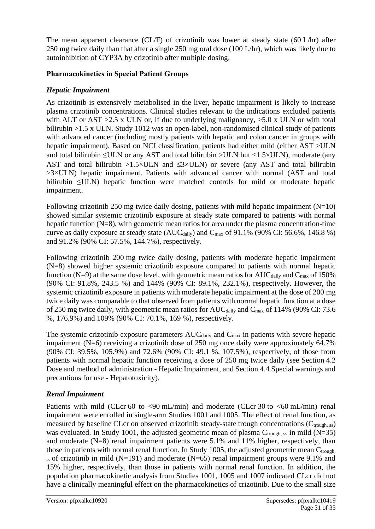The mean apparent clearance (CL/F) of crizotinib was lower at steady state (60 L/hr) after 250 mg twice daily than that after a single 250 mg oral dose (100 L/hr), which was likely due to autoinhibition of CYP3A by crizotinib after multiple dosing.

#### **Pharmacokinetics in Special Patient Groups**

#### *Hepatic Impairment*

As crizotinib is extensively metabolised in the liver, hepatic impairment is likely to increase plasma crizotinib concentrations. Clinical studies relevant to the indications excluded patients with ALT or AST  $>2.5$  x ULN or, if due to underlying malignancy,  $>5.0$  x ULN or with total bilirubin >1.5 x ULN. Study 1012 was an open-label, non-randomised clinical study of patients with advanced cancer (including mostly patients with hepatic and colon cancer in groups with hepatic impairment). Based on NCI classification, patients had either mild (either AST >ULN and total bilirubin  $\leq$ ULN or any AST and total bilirubin >ULN but  $\leq$ 1.5×ULN), moderate (any AST and total bilirubin  $>1.5\times$ ULN and  $\leq 3\times$ ULN) or severe (any AST and total bilirubin >3×ULN) hepatic impairment. Patients with advanced cancer with normal (AST and total bilirubin ≤ULN) hepatic function were matched controls for mild or moderate hepatic impairment.

Following crizotinib 250 mg twice daily dosing, patients with mild hepatic impairment  $(N=10)$ showed similar systemic crizotinib exposure at steady state compared to patients with normal hepatic function  $(N=8)$ , with geometric mean ratios for area under the plasma concentration-time curve as daily exposure at steady state  $(AUC_{\text{daily}})$  and  $C_{\text{max}}$  of 91.1% (90% CI: 56.6%, 146.8 %) and 91.2% (90% CI: 57.5%, 144.7%), respectively.

Following crizotinib 200 mg twice daily dosing, patients with moderate hepatic impairment (N=8) showed higher systemic crizotinib exposure compared to patients with normal hepatic function (N=9) at the same dose level, with geometric mean ratios for AUC $_{\text{dailv}}$  and  $_{\text{Cmax}}$  of 150% (90% CI: 91.8%, 243.5 %) and 144% (90% CI: 89.1%, 232.1%), respectively. However, the systemic crizotinib exposure in patients with moderate hepatic impairment at the dose of 200 mg twice daily was comparable to that observed from patients with normal hepatic function at a dose of 250 mg twice daily, with geometric mean ratios for  $AUC_{\text{daily}}$  and  $C_{\text{max}}$  of 114% (90% CI: 73.6 %, 176.9%) and 109% (90% CI: 70.1%, 169 %), respectively.

The systemic crizotinib exposure parameters  $AUC_{\text{daily}}$  and  $C_{\text{max}}$  in patients with severe hepatic impairment (N=6) receiving a crizotinib dose of 250 mg once daily were approximately 64.7% (90% CI: 39.5%, 105.9%) and 72.6% (90% CI: 49.1 %, 107.5%), respectively, of those from patients with normal hepatic function receiving a dose of 250 mg twice daily (see Section 4.2 Dose and method of administration - Hepatic Impairment, and Section 4.4 Special warnings and precautions for use - Hepatotoxicity).

## *Renal Impairment*

Patients with mild (CLcr 60 to  $\langle 90 \text{ mL/min} \rangle$  and moderate (CLcr 30 to  $\langle 60 \text{ mL/min} \rangle$  renal impairment were enrolled in single-arm Studies 1001 and 1005. The effect of renal function, as measured by baseline CLcr on observed crizotinib steady-state trough concentrations  $(C_{trough, ss})$ was evaluated. In Study 1001, the adjusted geometric mean of plasma  $C_{\text{trough, ss}}$  in mild (N=35) and moderate (N=8) renal impairment patients were 5.1% and 11% higher, respectively, than those in patients with normal renal function. In Study 1005, the adjusted geometric mean  $C_{\text{trough}}$  $_{ss}$  of crizotinib in mild (N=191) and moderate (N=65) renal impairment groups were 9.1% and 15% higher, respectively, than those in patients with normal renal function. In addition, the population pharmacokinetic analysis from Studies 1001, 1005 and 1007 indicated CLcr did not have a clinically meaningful effect on the pharmacokinetics of crizotinib. Due to the small size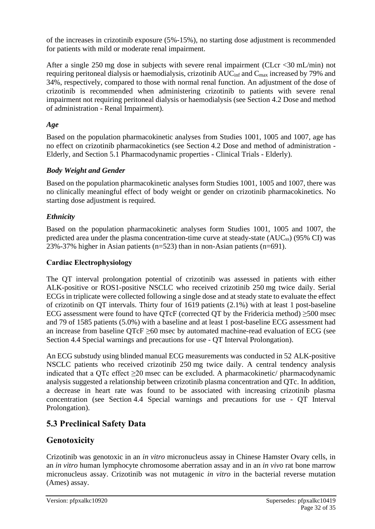of the increases in crizotinib exposure (5%-15%), no starting dose adjustment is recommended for patients with mild or moderate renal impairment.

After a single 250 mg dose in subjects with severe renal impairment (CLcr <30 mL/min) not requiring peritoneal dialysis or haemodialysis, crizotinib  $AUC<sub>inf</sub>$  and  $C<sub>max</sub>$  increased by 79% and 34%, respectively, compared to those with normal renal function. An adjustment of the dose of crizotinib is recommended when administering crizotinib to patients with severe renal impairment not requiring peritoneal dialysis or haemodialysis (see Section 4.2 Dose and method of administration - Renal Impairment).

## *Age*

Based on the population pharmacokinetic analyses from Studies 1001, 1005 and 1007, age has no effect on crizotinib pharmacokinetics (see Section 4.2 Dose and method of administration - Elderly, and Section 5.1 Pharmacodynamic properties - Clinical Trials - Elderly).

## *Body Weight and Gender*

Based on the population pharmacokinetic analyses form Studies 1001, 1005 and 1007, there was no clinically meaningful effect of body weight or gender on crizotinib pharmacokinetics. No starting dose adjustment is required.

## *Ethnicity*

Based on the population pharmacokinetic analyses form Studies 1001, 1005 and 1007, the predicted area under the plasma concentration-time curve at steady-state (AUCss) (95% CI) was 23%-37% higher in Asian patients ( $n=523$ ) than in non-Asian patients ( $n=691$ ).

#### **Cardiac Electrophysiology**

The QT interval prolongation potential of crizotinib was assessed in patients with either ALK-positive or ROS1-positive NSCLC who received crizotinib 250 mg twice daily. Serial ECGs in triplicate were collected following a single dose and at steady state to evaluate the effect of crizotinib on QT intervals. Thirty four of 1619 patients (2.1%) with at least 1 post-baseline ECG assessment were found to have QTcF (corrected QT by the Fridericia method)  $\geq$ 500 msec and 79 of 1585 patients (5.0%) with a baseline and at least 1 post-baseline ECG assessment had an increase from baseline  $QTcF \geq 60$  msec by automated machine-read evaluation of ECG (see Section 4.4 Special warnings and precautions for use - QT Interval Prolongation).

An ECG substudy using blinded manual ECG measurements was conducted in 52 ALK-positive NSCLC patients who received crizotinib 250 mg twice daily. A central tendency analysis indicated that a QTc effect  $\geq 20$  msec can be excluded. A pharmacokinetic/ pharmacodynamic analysis suggested a relationship between crizotinib plasma concentration and QTc. In addition, a decrease in heart rate was found to be associated with increasing crizotinib plasma concentration (see Section 4.4 Special warnings and precautions for use - QT Interval Prolongation).

# **5.3 Preclinical Safety Data**

# **Genotoxicity**

Crizotinib was genotoxic in an *in vitro* micronucleus assay in Chinese Hamster Ovary cells, in an *in vitro* human lymphocyte chromosome aberration assay and in an *in vivo* rat bone marrow micronucleus assay. Crizotinib was not mutagenic *in vitro* in the bacterial reverse mutation (Ames) assay.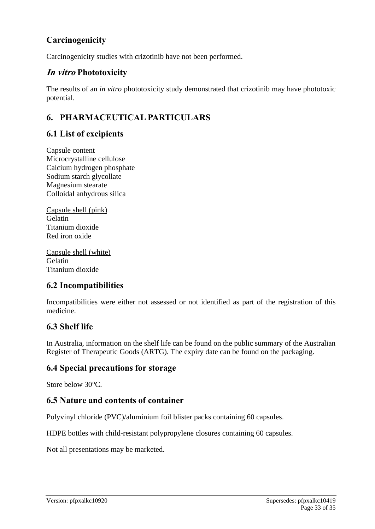# **Carcinogenicity**

Carcinogenicity studies with crizotinib have not been performed.

# **In vitro Phototoxicity**

The results of an *in vitro* phototoxicity study demonstrated that crizotinib may have phototoxic potential.

# **6. PHARMACEUTICAL PARTICULARS**

# **6.1 List of excipients**

Capsule content Microcrystalline cellulose Calcium hydrogen phosphate Sodium starch glycollate Magnesium stearate Colloidal anhydrous silica

Capsule shell (pink) Gelatin Titanium dioxide Red iron oxide

Capsule shell (white) Gelatin Titanium dioxide

## **6.2 Incompatibilities**

Incompatibilities were either not assessed or not identified as part of the registration of this medicine.

# **6.3 Shelf life**

In Australia, information on the shelf life can be found on the public summary of the Australian Register of Therapeutic Goods (ARTG). The expiry date can be found on the packaging.

## **6.4 Special precautions for storage**

Store below 30°C.

# **6.5 Nature and contents of container**

Polyvinyl chloride (PVC)/aluminium foil blister packs containing 60 capsules.

HDPE bottles with child-resistant polypropylene closures containing 60 capsules.

Not all presentations may be marketed.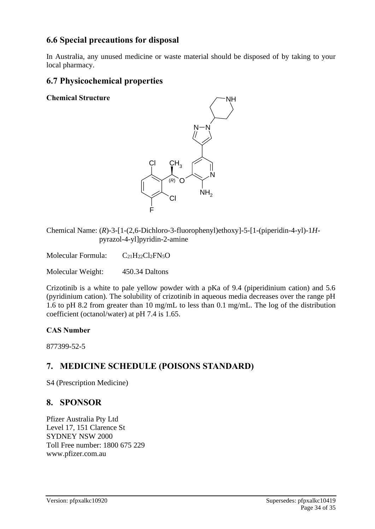# **6.6 Special precautions for disposal**

In Australia, any unused medicine or waste material should be disposed of by taking to your local pharmacy.

# **6.7 Physicochemical properties**

**Chemical Structure**



Chemical Name: (*R*)-3-[1-(2,6-Dichloro-3-fluorophenyl)ethoxy]-5-[1-(piperidin-4-yl)-1*H*pyrazol-4-yl]pyridin-2-amine

Molecular Formula:  $C_{21}H_{22}Cl_2FN_5O$ 

Molecular Weight: 450.34 Daltons

Crizotinib is a white to pale yellow powder with a pKa of 9.4 (piperidinium cation) and 5.6 (pyridinium cation). The solubility of crizotinib in aqueous media decreases over the range pH 1.6 to pH 8.2 from greater than 10 mg/mL to less than 0.1 mg/mL. The log of the distribution coefficient (octanol/water) at pH 7.4 is 1.65.

#### **CAS Number**

877399-52-5

# **7. MEDICINE SCHEDULE (POISONS STANDARD)**

S4 (Prescription Medicine)

# **8. SPONSOR**

Pfizer Australia Pty Ltd Level 17, 151 Clarence St SYDNEY NSW 2000 Toll Free number: 1800 675 229 www.pfizer.com.au